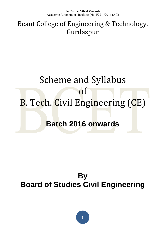# Beant College of Engineering & Technology, Gurdaspur

# Scheme and Syllabus of B. Tech. Civil Engineering (CE)

# **Batch 2016 onwards**

# **By Board of Studies Civil Engineering**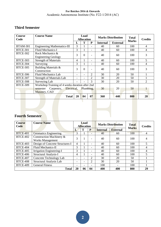# **Third Semester**

| <b>Course</b><br>Code                               | <b>Course Name</b><br>Load<br><b>Allocation</b> |                          |           |                |                 | <b>Marks Distribution</b> | <b>Total</b> | <b>Credits</b> |
|-----------------------------------------------------|-------------------------------------------------|--------------------------|-----------|----------------|-----------------|---------------------------|--------------|----------------|
|                                                     |                                                 | L                        | T         | P              | <b>Internal</b> | <b>External</b>           | <b>Marks</b> |                |
| <b>BTAM-301</b>                                     | <b>Engineering Mathematics-III</b>              | 3                        |           |                | 40              | 60                        | 100          | 4              |
| <b>BTCE-301</b>                                     | <b>Fluid Mechanics-I</b>                        | 3                        |           |                | 40              | 60                        | 100          | 4              |
| <b>BTCE-302</b>                                     | Rock Mechanics &                                | 3                        | $\Omega$  |                | 40              | 60                        | 100          | 3              |
|                                                     | <b>Engineering Geology</b>                      |                          |           |                |                 |                           |              |                |
| <b>BTCE-303</b>                                     | <b>Strength of Materials</b>                    | 40                       | 60        | 100            | $\overline{5}$  |                           |              |                |
| BTCE-304                                            | Surveying                                       | 3                        |           |                | 40              | 60                        | 100          | 4              |
| <b>BTCE-305</b>                                     | Building Materials &                            |                          | $\Omega$  |                | 40              | 60                        | 100          | 3              |
|                                                     | Construction                                    | 3                        |           |                |                 |                           |              |                |
| <b>BTCE-306</b>                                     | <b>Fluid Mechanics Lab</b>                      | $\overline{\phantom{0}}$ |           | 2              | 30              | 20                        | 50           |                |
| <b>BTCE-307</b>                                     | <b>Strength of Materials Lab</b>                | $\overline{\phantom{0}}$ |           | $\overline{2}$ | 30              | 20                        | 50           |                |
| <b>BTCE-308</b>                                     | Surveying Lab                                   | $\overline{\phantom{0}}$ |           | 3              | 30              | 20                        | 50           | $\overline{2}$ |
| <b>BTCE-309</b>                                     | Workshop Training of 4 weeks duration after 2nd |                          |           |                |                 |                           |              |                |
|                                                     | Carpentry, Electrical,<br>semester              |                          | Plumbing, |                | 30              | 20                        | 50           |                |
|                                                     | Masonry, CAD                                    |                          |           |                |                 |                           |              |                |
| 20<br>07<br>04<br><b>Total</b><br>360<br>440<br>800 |                                                 |                          |           |                |                 |                           |              | 28             |

# **Fourth Semester**

| <b>Course</b><br>Code | <b>Course Name</b>                                  |    | Load<br><b>Allocation</b> |    |                 | <b>Marks Distribution</b> | <b>Total</b><br><b>Marks</b> | <b>Credits</b> |
|-----------------------|-----------------------------------------------------|----|---------------------------|----|-----------------|---------------------------|------------------------------|----------------|
|                       |                                                     | L  |                           | P  | <b>Internal</b> | <b>External</b>           |                              |                |
| <b>BTCE-401</b>       | Geomatics Engineering                               | 3  |                           |    | 40              | 60                        | 100                          | 4              |
| <b>BTCE-402</b>       | Construction Machinery &<br><b>Works Management</b> |    |                           |    | 40              | 60                        | 100                          | 4              |
| <b>BTCE-403</b>       | Design of Concrete Structures-I                     |    |                           |    | 40              | 60                        | 100                          | 5              |
| <b>BTCE-404</b>       | <b>Fluid Mechanics-II</b>                           |    |                           |    | 40              | 60                        | 100                          | 4              |
| <b>BTCE-405</b>       | Irrigation Engineering-I                            | 3  |                           | -  | 40              | 60                        | 100                          | 4              |
| <b>BTCE-406</b>       | Structural Analysis-I                               | 4  |                           |    | 40              | 60                        | 100                          | 5              |
| <b>BTCE-407</b>       | Concrete Technology Lab                             |    |                           | 2  | 30              | 20                        | 50                           |                |
| <b>BTCE-408</b>       | <b>Structural Analysis Lab</b>                      |    |                           | 2  | 30              | 20                        | 50                           |                |
| <b>BTCE-409</b>       | <b>General Fitness</b>                              |    |                           |    | 100             | $\overline{\phantom{a}}$  | 100                          |                |
|                       | <b>Total</b>                                        | 20 | 06                        | 04 | 400             | 400                       | 800                          | 29             |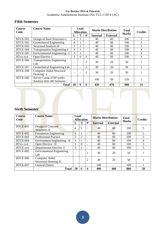| <b>Course Name</b>                  | Load                                                                                                          |                |                   |                                     |                 |                                             |                                                        |
|-------------------------------------|---------------------------------------------------------------------------------------------------------------|----------------|-------------------|-------------------------------------|-----------------|---------------------------------------------|--------------------------------------------------------|
|                                     |                                                                                                               |                |                   |                                     |                 |                                             | <b>Credits</b>                                         |
|                                     | L                                                                                                             | Т              | P                 | <b>Internal</b>                     | <b>External</b> |                                             |                                                        |
| Design of Steel Structures-I        | 4                                                                                                             |                | -                 | 40                                  | 60              | 100                                         | 5                                                      |
| Geotechnical Engineering            | 4                                                                                                             |                | -                 | 40                                  | 60              | 100                                         | 5                                                      |
| <b>Structural Analysis-II</b>       | 3                                                                                                             | 2              | -                 | 40                                  | 60              | 100                                         | 5                                                      |
| <b>Transportation Engineering-I</b> | 3                                                                                                             |                | $\qquad \qquad -$ | 40                                  | 60              |                                             | 4                                                      |
| Environmental Engineering-I         | 3                                                                                                             | 1.             | -                 | 40                                  | 60              | 100                                         | $\overline{4}$                                         |
| Open Elective-1                     |                                                                                                               | $\overline{0}$ | $\overline{0}$    | 40                                  | 60              | 100                                         | 3                                                      |
| <b>Transportation Engineering</b>   |                                                                                                               |                | 2                 | 30                                  | 20              | 50                                          |                                                        |
|                                     |                                                                                                               |                |                   |                                     |                 |                                             |                                                        |
|                                     |                                                                                                               | ۰              |                   |                                     |                 |                                             |                                                        |
| <b>Computer Aided Structural</b>    |                                                                                                               |                | $\overline{c}$    |                                     |                 |                                             |                                                        |
|                                     |                                                                                                               |                |                   |                                     |                 |                                             |                                                        |
|                                     |                                                                                                               |                |                   |                                     |                 |                                             | $\overline{2}$                                         |
|                                     |                                                                                                               |                |                   |                                     |                 |                                             |                                                        |
| Total                               | 20                                                                                                            | 6              | 6                 | 430                                 | 470             | 900                                         | 31                                                     |
|                                     | Lab<br>Geotechnical Engineering Lab<br>Drawing $-I$<br>Survey Camp of 04 weeks<br>duration after 4th Semester | 3              |                   | <b>Allocation</b><br>$\overline{2}$ | 30<br>30<br>100 | <b>Marks Distribution</b><br>20<br>20<br>50 | <b>Total</b><br><b>Marks</b><br>100<br>50<br>50<br>150 |

# **Fifth Semester**

# **Sixth Semester**

| <b>Course</b><br>Code | <b>Course Name</b>                                                                          | Load<br><b>Allocation</b> |                          |                          | <b>Marks Distribution</b> |                 | <b>Total</b><br><b>Marks</b> | <b>Credits</b> |  |
|-----------------------|---------------------------------------------------------------------------------------------|---------------------------|--------------------------|--------------------------|---------------------------|-----------------|------------------------------|----------------|--|
|                       |                                                                                             | L                         | T                        | P                        | <b>Internal</b>           | <b>External</b> |                              |                |  |
| <b>BTCE-601</b>       | Design of Concrete<br>Structures-II                                                         | $\overline{4}$            | $\overline{\phantom{a}}$ | $\overline{\phantom{a}}$ | 40                        | 60              | 100                          | 5              |  |
| <b>BTCE-602</b>       | <b>Foundation Engineering</b>                                                               | $\overline{4}$            | 1                        | $\overline{\phantom{0}}$ | 40                        | 60              | 100                          | 5              |  |
| <b>BTCE-603</b>       | <b>Professional Practice</b>                                                                | 3                         | $\overline{2}$           | $\overline{\phantom{a}}$ | 40                        | 60              |                              | 5              |  |
| <b>BTCE-604</b>       | Environment Engineering -II                                                                 | 3                         | 1                        | $\overline{\phantom{a}}$ | 40<br>60                  |                 | 100                          | 4              |  |
| BTxx-xxx              | Open Elective -II                                                                           | 3                         | $\overline{0}$           |                          | 40                        | 60              | 100                          |                |  |
| <b>BTCE-XXX</b>       | Departmental Elective -I                                                                    | 3                         | 1                        | $\overline{\phantom{a}}$ | 40                        | 60              | 100                          | 3              |  |
| <b>BTCE-605</b>       | <b>Environmental Engineering</b><br>$\overline{2}$<br>30<br>$\overline{\phantom{a}}$<br>Lab |                           | 20                       | 50                       |                           |                 |                              |                |  |
| <b>BTCE-606</b>       | Computer Aided<br><b>Structural Drawing II</b>                                              | $\overline{\phantom{0}}$  | $\overline{\phantom{a}}$ | 2                        | 30                        | 20              | 50                           |                |  |
| <b>BTCE-607</b>       | <b>General Fitness</b>                                                                      |                           | $\overline{\phantom{a}}$ | $\overline{\phantom{a}}$ | 100                       |                 | 100                          |                |  |
|                       | <b>Total</b>                                                                                | 20                        | 6                        | 4                        | 400                       | 400             | 800                          | 28             |  |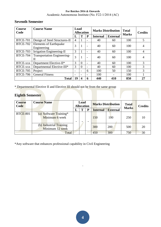| <b>Course</b><br>Code | <b>Course Name</b>                                              | Load<br><b>Allocation</b><br>P<br>L |                                             |                                | <b>Marks Distribution</b> |     | <b>Total</b><br><b>Marks</b> | <b>Credits</b> |
|-----------------------|-----------------------------------------------------------------|-------------------------------------|---------------------------------------------|--------------------------------|---------------------------|-----|------------------------------|----------------|
|                       |                                                                 |                                     |                                             | <b>Internal</b>                | <b>External</b>           |     |                              |                |
| <b>BTCE-701</b>       | Design of Steel Structures-II                                   | 4                                   |                                             | $\overline{\phantom{0}}$       | 40                        | 60  | 100                          | 5              |
| <b>BTCE-702</b>       | <b>Elements of Earthquake</b><br>Engineering                    | 3                                   | $\mathbf{1}$<br>$\overline{a}$              |                                | 40                        | 60  | 100                          | 4              |
| <b>BTCE-703</b>       | Irrigation Engineering-II                                       | 3                                   |                                             | 40<br>$\overline{\phantom{0}}$ |                           | 60  | 100                          | 4              |
| <b>BTCE-704</b>       | <b>Transportation Engineering-</b><br>H                         |                                     | 1                                           | $\overline{a}$                 | 40                        | 60  | 100                          | 4              |
| <b>BTCE-XXX</b>       | Department Elective-II*                                         | 3                                   | $\theta$                                    | $\overline{\phantom{0}}$       | 40                        | 60  | 100                          | 3              |
| <b>BTCE-XXX</b>       | Departmental Elective-III*                                      | 3                                   | $\overline{0}$                              | $\qquad \qquad$                | 40                        | 60  | 100                          | 3              |
| <b>BTCE-705</b>       | Project<br>$\overline{\phantom{a}}$<br>$\overline{\phantom{0}}$ |                                     |                                             | 6                              | 100                       | 50  | 150                          | 3              |
| <b>BTCE-706</b>       | <b>General Fitness</b>                                          | $\overline{\phantom{0}}$            | $\overline{\phantom{0}}$<br>$\qquad \qquad$ |                                | 100                       |     | 100                          |                |
|                       | <b>Total</b>                                                    | 19                                  | 4                                           | 6                              | 440                       | 410 | 850                          | 27             |

# **Seventh Semester**

\* Departmental Elective II and Elective III should not be from the same group

# **Eighth Semester**

| Code | <b>Course</b>   | <b>Course Name</b>                         |   | Load<br><b>Allocation</b> |   | <b>Marks Distribution</b> |                 | <b>Total</b><br><b>Marks</b> | <b>Credits</b> |
|------|-----------------|--------------------------------------------|---|---------------------------|---|---------------------------|-----------------|------------------------------|----------------|
|      |                 |                                            | L |                           | P | <b>Internal</b>           | <b>External</b> |                              |                |
|      | <b>BTCE-801</b> | (a) Software Training*<br>Minimum 6 week   |   |                           |   | 150                       | 100             | 250                          | 10             |
|      |                 | (b) Industrial Training<br>Minimum 12 week |   |                           |   | 300                       | 200             | 500                          | 20             |
|      |                 | Total                                      |   |                           |   | 450                       | 300             | 750                          | 30             |

-

\*Any software that enhances professional capability in Civil Engineering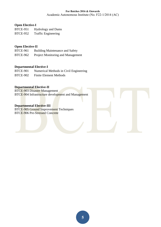# **Open Elective-I**

| <b>BTCE-951</b> | <b>Hydrology and Dams</b>  |
|-----------------|----------------------------|
| <b>BTCE-952</b> | <b>Traffic Engineering</b> |

# **Open Elective-II**

BTCE-961 Building Maintenance and Safety BTCE-962 Project Monitoring and Management

# **Departmental Elective-I**

BTCE-901 Numerical Methods in Civil Engineering BTCE-902 Finite Element Methods

# **Departmental Elective-II**

BTCE-903 Disaster Management BTCE-904 Infrastructure development and Management

# **Departmental Elective-III**

BTCE-905 Ground Improvement Techniques BTCE-906 Pre-Stressed Concrete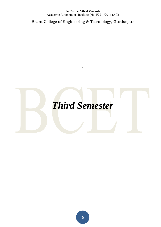Beant College of Engineering & Technology, Gurdaspur



-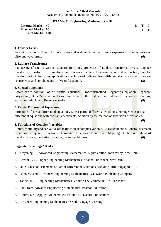# **BTAM-301 Engineering Mathematics – III**

| <b>Internal Marks: 40</b> |  |
|---------------------------|--|
| <b>External Marks: 60</b> |  |
| <b>Total Marks: 100</b>   |  |

**L T P 3 1 0**

**(8)**

### **1. Fourier Series:**

Periodic functions, Euler's formula. Even and odd functions, half range expansions, Fourier series of different waveforms. **(6)** (6)

### **2. Laplace Transforms:**

Laplace transforms of various standard functions, properties of Laplace transforms, inverse Laplace transforms, transform of derivatives and integrals, Laplace transform of unit step function, impulse function, periodic functions, applications to solution of ordinary linear differential equations with constant coefficients, and simultaneous differential equation. **(**8)

### **3. Special Functions:**

Power series solution. of differential equations, Frobeniusmethod, Legendre's equation, Legendre polynomial, Bessel's equation, Bessel functions of the first and second kind. Recurrence relations, equations reducible to Bessel's equation. **(**8)

# 4. **Partial Differential Equations:**

Formation of partial differential equations, Linear partial differential equations, homogeneous partial differential equations with constant coefficients, Solution by the method of separation of variables**.**

# **5. Functions of Complex Variable:**

Limits, continuity and derivative of the function of complex variable, Analytic function, Cauchy- Riemann equations, conjugate functions, harmonic functions; Conformal Mapping: Definition, standard transformations, translation, rotation, inversion, bilinear. **(6)**

# **Suggested Readings / Books:**

- 1. Kreyszing, E., Advanced Engineering Mathematics, Eighth edition, John Wiley, New Delhi.
- 2. Grewal, B. S., Higher Engineering Mathematics, Khanna Publishers, New Delhi.
- 3. Ian N. Sneedon, Elements of Partial Differential Equations, McGraw- Hill, Singapore, 1957.
- 4. Peter. V. O'Nil, Advanced Engineering Mathematics, Wadsworth Publishing Company.
- 5. Taneja, H. C., Engineering Mathematics, Volume-I & Volume-II, I. K. Publisher.
- 6. Babu Ram, Advance Engineering Mathematics, Pearson Education.
- 7. Bindra, J. S., Applied Mathematics, Volume-III, Kataria Publications.
- 8. Advanced Engineering Mathematics, O'Neil, Cengage Learning.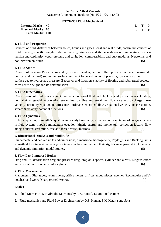# **BTCE-301 Fluid Mechanics-I**

| <b>Internal Marks: 40</b> |       | L T P |  |
|---------------------------|-------|-------|--|
| <b>External Marks: 60</b> | 3 1 0 |       |  |
| <b>Total Marks: 100</b>   |       |       |  |

# **1. Fluid and Properties**

Concept of fluid, difference between solids, liquids and gases, ideal and real fluids, continuum concept of fluid, density, specific weight, relative density, viscosity and its dependence on temperature, surface tension and capillarity, vapor pressure and cavitation, compressibility and bulk modulus, Newtonian and non-Newtonian fluids. **(**5)

# **2. Fluid Statics**

Concept of pressure, Pascal's law and hydrostatic paradox, action of fluid pressure on plane (horizontal, vertical and inclined) submerged surface, resultant force and center of pressure, force on a curved surface due to hydrostatic pressure. Buoyancy and flotation, stability of floating and submerged bodies, Meta centric height and its determination. (6)

# **3. Fluid Kinematics**

Classification of fluid flows, velocity and acceleration of fluid particle, local and convective acceleration, normal & tangential acceleration streamline, pathline and streakline, flow rate and discharge mean velocity continuity equation in Cartesian co-ordinates, rotational flows, rotational velocity and circulation, stream  $\&$  velocity potential functions. (6)

# **4. Fluid Dynamics**

Euler's equation, Bernoulli's equation and steady flow energy equation, representation of energy changes in fluid system, impulse momentum equation, kinetic energy and momentum correction factors, flow along a curved streamline, free and forced vortex motions. (6)

# **5. Dimensional Analysis and Similitude**

Fundamental and derived units and dimensions, dimensional homogeneity, Rayleigh's and Buckingham's Pi method for dimensional analysis, dimension less number and their significance, geometric, kinematic and dynamic similarity, model studies. (5)

# **6. Flow Past Immersed Bodies**

Drag and lift, deformation drag and pressure drag, drag on a sphere, cylinder and airfoil, Magnus effect and circulation, lift on a circular cylinder. (6)

# **7. Flow Measurement**

Manometers, Pitot tubes, venturimeter, orifice meters, orifices, mouthpieces, notches (Rectangular and Vnotches) and weirs (Sharp crested Weirs). (4)

- 1. Fluid Mechanics & Hydraulic Machines by R.K. Bansal, Luxmi Publications.
- 2. Fluid mechanics and Fluid Power Engineering by D.S. Kumar, S.K. Kataria and Sons.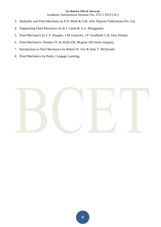- 3. Hydraulic and Fluid Mechanic by P.N. Modi & S.M. Seth, Rajsons Publications Pvt. Ltd.
- 4. Engineering Fluid Mechanics by R.J. Garde & A.G. Mirajgaoker.
- 5. Fluid Mechanics by J. F. Douglas, J.M. Gasiorek, J.P. Swaffield, L.B. Jack, Pitman.
- 6. Fluid Mechanics: Streetes VL & Wylie EB, Mcgraw Hill book company.
- 7. Introduction to Fluid Mechanics by Robert W. Fox & Alan T. McDonald.
- 8. Fluid Mechanics by Potter, Cengage Learning.

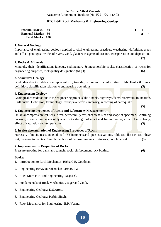# **BTCE-302 Rock Mechanics & Engineering Geology**

| <b>Internal Marks: 40</b> |  | L T P               |  |
|---------------------------|--|---------------------|--|
| <b>External Marks: 60</b> |  | $3 \quad 0 \quad 0$ |  |
| <b>Total Marks: 100</b>   |  |                     |  |

# **1. General Geology**

Importance of engineering geology applied to civil engineering practices, weathering, definition, types and effect, geological works of rivers, wind, glaciers as agents of erosion, transportation and deposition.

(7)

# **2. Rocks & Minerals**

Minerals, their identification, igneous, sedimentary & metamorphic rocks, classification of rocks for engineering purposes, rock quality designation (RQD). (6)

# **3. Structural Geology**

Brief idea about stratification, apparent dip, true dip, strike and inconformities, folds. Faults & joints: definition, classification relation to engineering operations. (5)

# **4. Engineering Geology**

Geological considerations in the engineering projects like tunnels, highways, dams, reservoirs, foundation. Earthquake: Definition, terminology, earthquake waves, intensity, recording of earthquake.

(5)

# **5. Engineering Properties of Rocks and Laboratory Measurement**

Uniaxial compression test, tensile test, permeability test, shear test, size and shape of specimen. Confining pressure, stress strain curves of typical rocks strength of intact and fissured rocks, effect of anisotropy, effect of saturation and temperature. (5)

### **6. In-situ determination of Engineering Properties of Rocks**

Necessity of in-situ tests, uniaxial load tests in tunnels and open excavations, cable test, flat jack test, shear test, pressure tunnel test. Simple methods of determining in situ stresses, bore hole test. (6)

# **7. Improvement in Properties of Rocks**

Pressure grouting for dams and tunnels, rock reinforcement rock bolting. (6)

- 1. Introduction to Rock Mechanics: Richard E. Goodman.
- 2. Engineering Behaviour of rocks: Farmar, I.W.
- 3. Rock Mechanics and Engineering: Jaager C.
- 4. Fundamentals of Rock Mechanics: Jaager and Cook.
- 5. Engineering Geology: D.S.Arora.
- 6. Engineering Geology: Parbin Singh.
- 7. Rock Mechanics for Engineering: B.P. Verma.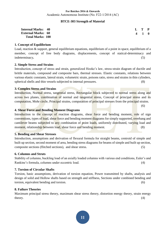# **BTCE-303 Strength of Material**

| <b>Internal Marks: 40</b> | $L$ T P |       |  |
|---------------------------|---------|-------|--|
| <b>External Marks: 60</b> |         | 4 1 0 |  |
| <b>Total Marks: 100</b>   |         |       |  |

# **1. Concept of Equilibrium**

Load, reaction & support, general equilibrium equations, equilibrium of a point in space, equilibrium of a member, concept of free body diagrams, displacements, concept of statical-determinacy and indeterminacy**.** (5)

### **2. Simple Stress and Strains**

Introduction, concept of stress and strain, generalized Hooke's law, stress-strain diagram of ductile and brittle materials, compound and composite bars, thermal stresses. Elastic constants, relations between various elastic constants, lateral strain, volumetric strain, poisons ratio, stress and strains in thin cylinders, spherical shells and thin vessels subjected to internal pressures. (8)

### **3. Complex Stress and Strains**

Introduction, Normal stress, tangential stress, Rectangular block subjected to normal stress along and across two planes, combination of normal and tangential stress, Concept of principal stress and its computation, Mohr circle, Principal strains, computation of principal stresses from the principal strains.

 $(6)$ 

### **4. Shear Force and Bending Moment Diagrams**

Introduction to the concept of reaction diagrams, shear force and bending moment, role of sign conventions, types of load, shear force and bending moment diagrams for simply supported, overhang and cantilever beams subjected to any combination of point loads, uniformly distributed, varying load and moment, relationship between load, shear force and bending moment. (8)

# **5. Bending and Shear Stresses**

Introduction, assumptions and derivation of flexural formula for straight beams, centroid of simple and built up section, second moment of area, bending stress diagrams for beams of simple and built up section, composite sections (flitched sections), and shear stress. (5)

# **6. Columns and Struts**

Stability of columns, buckling load of an axially loaded columns with various end conditions, Euler's and Rankine's formula, columns under eccentric load. (4)

# **7. Torsion of Circular Shafts**

Torsion, basic assumptions, derivation of torsion equation, Power transmitted by shafts, analysis and design of solid and Hollow shafts based on strength and stiffness, Sections under combined bending and torsion, equivalent bending and torsion. (6)

# **8. Failure Theories**

Maximum principal stress theory, maximum shear stress theory, distortion energy theory, strain energy  $\phi$  theory. (4)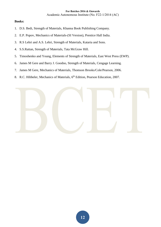- 1. D.S. Bedi, Strength of Materials, Khanna Book Publishing Company.
- 2. E.P. Popov, Mechanics of Materials-(SI Version), Prentice Hall India.
- 3. R.S Lehri and A.S. Lehri, Strength of Materials, Kataria and Sons.
- 4. S.S.Rattan, Strength of Materials, Tata McGraw Hill.
- 5. Timoshenko and Young, Elements of Strength of Materials, East West Press (EWP).
- 6. James M Gere and Barry J. Goodno, Strength of Materials, Cengage Learning.
- 7. James M Gere, Mechanics of Materials, Thomson Brooks/Cole/Pearson, 2006.
- 8. R.C. Hibbeler, Mechanics of Materials, 6<sup>th</sup> Edition, Pearson Education, 2007.

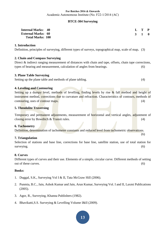# **BTCE-304 Surveying**

| <b>Internal Marks:</b><br>40<br><b>External Marks: 60</b><br><b>Total Marks: 100</b>                                                                                                                                                                                                                                                                                                                                                                                                                                                                                                                        | L<br>3 | T<br>1     | ${\bf P}$<br>$\bf{0}$ |
|-------------------------------------------------------------------------------------------------------------------------------------------------------------------------------------------------------------------------------------------------------------------------------------------------------------------------------------------------------------------------------------------------------------------------------------------------------------------------------------------------------------------------------------------------------------------------------------------------------------|--------|------------|-----------------------|
| 1. Introduction                                                                                                                                                                                                                                                                                                                                                                                                                                                                                                                                                                                             |        |            |                       |
| Definition, principles of surveying, different types of surveys, topographical map, scale of map. (3)                                                                                                                                                                                                                                                                                                                                                                                                                                                                                                       |        |            |                       |
| 2. Chain and Compass Surveying                                                                                                                                                                                                                                                                                                                                                                                                                                                                                                                                                                              |        |            |                       |
| Direct & indirect ranging measurement of distances with chain and tape, offsets, chain tape corrections,<br>types of bearing and measurement, calculation of angles from bearings.                                                                                                                                                                                                                                                                                                                                                                                                                          |        | (6)        |                       |
| <b>3. Plane Table Surveying</b>                                                                                                                                                                                                                                                                                                                                                                                                                                                                                                                                                                             |        |            |                       |
| Setting up the plane table and methods of plane tabling.                                                                                                                                                                                                                                                                                                                                                                                                                                                                                                                                                    |        | (4)        |                       |
| <b>4. Leveling and Contouring</b><br>Setting up a dumpy level, methods of levelling, finding levels by rise & fall method and height of<br>instrument method, corrections due to curvature and refraction. Characteristics of contours, methods of<br>contouring, uses of contour maps.<br><b>5. Theodolite Traversing</b><br>Temporary and permanent adjustments, measurement of horizontal and vertical angles, adjustment of<br>closing error by Bowditch & Transit rules.<br><b>6. Tachometry</b><br>Definition, determination of tachometer constants and reduced level from tachometric observations. |        | (4)<br>(4) |                       |
| 7. Triangulation<br>Selection of stations and base line, corrections for base line, satellite station, use of total station for<br>surveying.                                                                                                                                                                                                                                                                                                                                                                                                                                                               |        | (6)<br>(6) |                       |
| 8. Curves<br>Different types of curves and their use. Elements of a simple, circular curve. Different methods of setting<br>out of these curves.                                                                                                                                                                                                                                                                                                                                                                                                                                                            |        | (6)        |                       |
| <b>Books:</b>                                                                                                                                                                                                                                                                                                                                                                                                                                                                                                                                                                                               |        |            |                       |
| 1. Duggal, S.K., Surveying Vol I & II, Tata McGraw Hill (2006).                                                                                                                                                                                                                                                                                                                                                                                                                                                                                                                                             |        |            |                       |

- 2. Punmia, B.C., Jain, Ashok Kumar and Jain, Arun Kumar, Surveying Vol. I and II, Laxmi Publications (2005).
- 3. Agor, R., Surveying, Khanna Publishers (1982).
- 4. Bhavikatti,S.S. Surveying & Levelling Volume I&II (2009).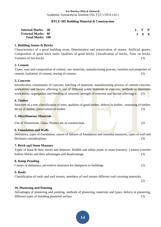# **BTCE-305 Building Material & Construction**

| <b>Internal Marks: 40</b> |  | $L$ T P             |  |
|---------------------------|--|---------------------|--|
| <b>External Marks: 60</b> |  | $3 \quad 0 \quad 0$ |  |
| <b>Total Marks: 100</b>   |  |                     |  |

# **1. Building Stones & Bricks**

Characteristics of a good building stone, Deterioration and preservation of stones, Artificial gtones, Composition of good brick earth, Qualities of good bricks, Classification of bricks, Tests on bricks, Varieties of fire bricks. *(3)* (3)

# **2. Cement**

Types, uses and composition of cement, raw materials, manufacturing process, varieties and properties of cement, hydration of cement, testing of cement. (3)

# **3. Concrete**

Introduction, constituents of concrete, batching of materials, manufacturing process of cement concrete, workability and factors affecting it, use of different waste materials in concrete, methods to determine workability, segregation and bleeding of concrete, strength of concrete and factors affecting it. (5)

# **4. Timber**

Structure of a tree, classification of trees, qualities of good timber, defects in timber, seasoning of timber, decay of timber, preservation of timber. (3)

# **5. Miscellaneous Materials**

Use of Aluminium, Glass, Plastics etc.in construction. (2)

# **6. Foundation and Walls**

Definition, types of foundation, causes of failures of foundation and remedial measures, types of wall and thickness considerations. (3)

# **7. Brick and Stone Masonry**

Types of bond & their merits and demerits. Rubble and ashlar joints in stone masonry. Cement concrete hollow blocks and their advantages and disadvantage. (3)

# **8. Damp Proofing**

Causes of dampness, preventive measures for dampness in buildings. (2)

# **9. Roofs**

Classification of roofs and roof trusses, members of roof trusses different roof covering materials.

**10. Plastering and Pointing**

Advantages of plastering and painting, methods of plastering, materials and types, defects in plastering, different types of finishing plastered surface. (3)

(2)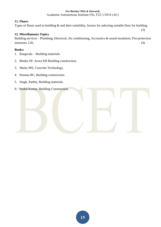# **11. Floors**

Types of floors used in building & and their suitability, factors for selecting suitable floor for building.

# **12. Miscellaneous Topics**

Building services – Plumbing, Electrical, Air conditioning, Accoustics & sound insulation, Fire protection  $measures, Lift.$  (4)

(3)

- 1. Rangwala Building materials.
- 2. Bindra SP, Arora KR Building construction.
- 3. Shetty MS, Concrete Technology.
- 4. Punmia BC, Building construction.
- 5. Singh, Parbin, Building materials.
- 6. Sushil Kumar, Building Construction.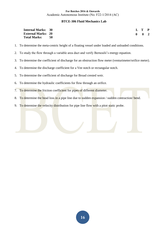# **BTCE-306 Fluid Mechanics Lab**

| <b>Internal Marks: 30</b> |  | L T P         |  |
|---------------------------|--|---------------|--|
| <b>External Marks: 20</b> |  | $0 \t 0 \t 2$ |  |
| Total Marks: 50           |  |               |  |

- 1. To determine the meta-centric height of a floating vessel under loaded and unloaded conditions.
- 2. To study the flow through a variable area duct and verify Bernoulii's energy equation.
- 3. To determine the coefficient of discharge for an obstruction flow meter (venturimeter/orifice meter).
- 4. To determine the discharge coefficient for a Vee notch or rectangular notch.
- 5. To determine the coefficient of discharge for Broad crested weir.
- 6. To determine the hydraulic coefficients for flow through an orifice.
- 7. To determine the friction coefficient for pipes of different diameter.
- 8. To determine the head loss in a pipe line due to sudden expansion / sudden contraction/ bend.
- 9. To determine the velocity distribution for pipe line flow with a pitot static probe.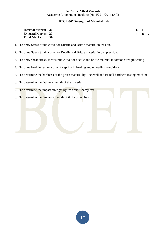# **BTCE-307 Strength of Material Lab**

| <b>Internal Marks: 30</b> |    |  | L T P         |  |
|---------------------------|----|--|---------------|--|
| <b>External Marks: 20</b> |    |  | $0 \t 0 \t 2$ |  |
| <b>Total Marks:</b>       | 50 |  |               |  |

- 1. To draw Stress Strain curve for Ductile and Brittle material in tension.
- 2. To draw Stress Strain curve for Ductile and Brittle material in compression.
- 3. To draw shear stress, shear strain curve for ductile and brittle material in torsion strength testing
- 4. To draw load deflection curve for spring in loading and unloading conditions.
- 5. To determine the hardness of the given material by Rockwell and Brinell hardness testing machine.
- 6. To determine the fatigue strength of the material.
- 7. To determine the impact strength by Izod and Charpy test.
- 8. To determine the flexural strength of timber/steel beam.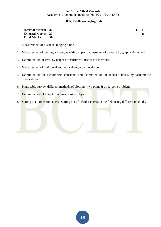# **BTCE-308 Surveying Lab**

| <b>Internal Marks: 30</b> |    |  |  | L T P |                     |  |
|---------------------------|----|--|--|-------|---------------------|--|
| <b>External Marks: 20</b> |    |  |  |       | $0 \quad 0 \quad 3$ |  |
| <b>Total Marks:</b>       | 50 |  |  |       |                     |  |

- 1. Measurement of distance, ranging a line.
- 2. Measurement of bearing and angles with compass, adjustment of traverse by graphical method.
- 3. Determination of level by height of instrument, rise & fall methods.
- 4. Measurement of horizontal and vertical angle by theodolite.
- 5. Determination of tachometric constants and determination of reduced levels by tachometric observations.
- 6. Plane table survey, different methods of plotting two point & three-point problem.
- 7. Determination of height of an inaccessible object.
- 8. Setting out a transition curve. Setting out of circular curves in the field using different methods.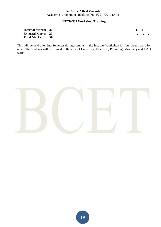# **BTCE-309 Workshop Training**

| <b>Internal Marks: 30</b> |      |  |  | L T P         |  |
|---------------------------|------|--|--|---------------|--|
| <b>External Marks: 20</b> |      |  |  | $\sim$ $\sim$ |  |
| <b>Total Marks:</b>       | - 50 |  |  |               |  |

This will be held after 2nd Semester during summer in the Institute Workshop for four weeks daily for 4 hrs. The students will be trained in the area of Carpentry, Electrical, Plumbing, Masonary and CAD work.

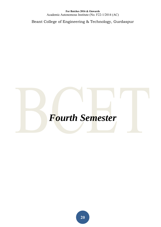Beant College of Engineering & Technology, Gurdaspur

# *Fourth Semester*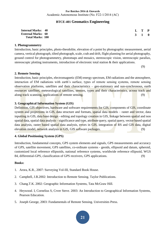Introduction, basic principles, photo-theodolite, elevation of a point by photographic measurement, aerial camera, vertical photograph, tilted photograph, scale, crab and drift, flight planning for aerial photography, ground control for photogrammetry, photomaps and mosaics, stereoscopic vision, stereoscopic parallax, stereoscopic plotting instruments, introduction of electronic total station & their applications.

(9)

**L T P 3 1 0**

# **2. Remote Sensing**

**1. Photogrammetry** 

**Internal Marks: 40 External Marks: 60 Total Marks: 100** 

Introduction, basic principles, electromagnetic (EM) energy spectrum, EM radiations and the atmosphere, interaction of EM radiations with earth's surface, types of remote sensing systems, remote sensing observation platforms, satellites and their characteristics – geo-stationary and sun-synchronous, earth resources satellites, meteorological satellites, sensors, types and their characteristics, across track and along track scanning, applications of remote sensing. (9)

# **3. Geographical Information System (GIS)**

Definition, GIS objectives, hardware and software requirements for GIS, components of GIS, coordinate system and projections in GIS, data structure and formats, spatial data models – raster and vector, data inputting in GIS, data base design - editing and topology creation in GIS, linkage between spatial and non spatial data, spatial data analysis – significance and type, attribute query, spatial query, vector based spatial data analysis, raster based spatial data analysis, errors in GIS, integration of RS and GIS data, digital elevation model, network analysis in GIS, GIS software packages.(9)

# **4. Global Positioning System (GPS)**

Introduction, fundamental concepts, GPS system elements and signals, GPS measurements and accuracy of GPS, satellite movement, GPS satellites, co-ordinate systems - geoids, ellipsoid and datum, spheroid, customized local reference ellipsoids, national reference systems, worldwide reference ellipsoid, WGS 84, differential-GPS, classification of GPS receivers, GPS applications. (9)

# **Books:**

- 1. Arora, K.R., 2007: Surveying Vol-III, Standard Book House.
- 2. Campbell, J.B.2002: Introduction to Remote Sensing. Taylor Publications.
- 3. Chang.T.K. 2002: Geographic Information Systems, Tata McGraw Hill.
- 4. Heywood. I, Cornelius S, Crver Steve. 2003: An Introduction to Geographical Information Systems, Pearson Education.
- 5. Joseph George, 2003: Fundamentals of Remote Sensing. Universities Press.

**BTCE-401 Geomatics Engineering**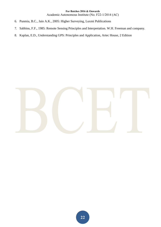# **For Batches 2016 & Onwards**

Academic Autonomous Institute (No. F22-1/2014 (AC)

- 6. Punmia, B.C., Jain A.K., 2005: Higher Surveying, Luxmi Publications
- 7. Sabbins, F.F., 1985: Remote Sensing Principles and Interpretation. W.H. Freeman and company.
- 8. Kaplan, E.D., Understanding GPS: Principles and Application, Artec House, 2 Edition

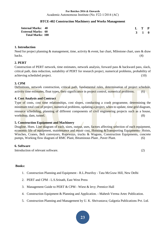# **BTCE-402 Construction Machinery and Works Management**

| <b>Internal Marks: 40</b> |  | $L$ T P |  |
|---------------------------|--|---------|--|
| <b>External Marks: 60</b> |  | 3 1 0   |  |
| <b>Total Marks: 100</b>   |  |         |  |

# **1. Introduction**

Need for project planning & management, time, activity & event, bar chart, Milestone chart, uses & draw  $backs.$  (4)

# **2. PERT**

Construction of PERT network, time estimates, network analysis, forward pass & backward pass, slack, critical path, data reduction, suitability of PERT for research project, numerical problems, probability of achieving scheduled project. (10)

# **3. CPM**

Definitions, network construction, critical path, fundamental rules, determination of project schedule, activity time estimates, float types, their significance in project control, numerical problems. (6)

# **4. Cost Analysis and Contract**

Type of costs, cost time relationships, cost slopes, conducting a crash programme, determining the minimum total cost of project, numerical problems, updating a project, when to update, time grid diagram, resource scheduling, planning of different components of civil engineering projects such as a house, workshop, dam, tunnel. (8)

# **5. Construction Equipment and Machinery**

Dragline, Hoes. Line diagram of each, sizes, output, uses, factors affecting selection of each equipment, economic life of equipment, maintenance and repair cost, Hoisting &Transporting Equipments- Hoists, Winches, Cranes, Belt conveyors, Ropeways, trucks & Wagons, Construction Equipments, concrete pumps, Working flow diagram of RMC Plant, Bituminous Plant , Paver Plant. (6)

# **6. Software**

Introduction of relevant software. (2)

- 1. Construction Planning and Equipment R.L.Peurifoy Tata McGraw Hill, New Delhi
- 2. PERT and CPM L.S.Srinath, East West Press
- 3. Management Guide to PERT & CPM Wiest & levy; Prentice Hall
- 4. Construction Equipment & Planning and Application. Mahesh Verma Artec Publication.
- 5. Construction Planning and Management by U. K. Shrivastava; Galgotia Publications Pvt. Ltd.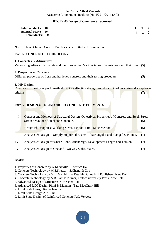# **BTCE-403 Design of Concrete Structures-I**

|             | <b>Internal Marks:</b><br>40<br>L<br><b>External Marks:</b><br>60<br>$\overline{\mathbf{4}}$<br><b>Total Marks: 100</b>                   | 1   | P<br>$\bf{0}$ |
|-------------|-------------------------------------------------------------------------------------------------------------------------------------------|-----|---------------|
|             | Note: Relevant Indian Code of Practices is permitted in Examination.                                                                      |     |               |
|             | Part A: CONCRETE TECHNOLOGY                                                                                                               |     |               |
|             | 1. Concretes & Admixtures<br>Various ingredients of concrete and their properties. Various types of admixtures and their uses. (5)        |     |               |
|             | 2. Properties of Concrete<br>Different properties of fresh and hardened concrete and their testing procedure.                             | (5) |               |
| criteria.   | 3. Mix Design<br>Concrete mix design as per IS method. Factors affecting strength and durability of concrete and acceptance               | (7) |               |
|             | Part B: DESIGN OF REINFORCED CONCRETE ELEMENTS                                                                                            |     |               |
| $I_{\cdot}$ | Concept and Methods of Structural Design, Objectives, Properties of Concrete and Steel, Stress-<br>Strain behavior of Steel and Concrete. | (5) |               |
| П.          | Design Philosophies: Working Stress Method, Limit State Method.                                                                           | (5) |               |
| III.        | Analysis & Design of Simply Supported Beams - (Rectangular and Flanged Sections).                                                         | (7) |               |
| IV.         | Analysis & Design for Shear, Bond, Anchorage, Development Length and Torsion.                                                             | (7) |               |
| V.          | Analysis & Design of One and Two way Slabs, Stairs.                                                                                       | (7) |               |

- 1. Properties of Concrete by A.M.Neville Prentice Hall
- 2. Concrete Technology by M.S.Shetty. S.Chand & Co.;
- 3. Concrete Technology by M.L. Gambhir. Tata Mc. Graw Hill Publishers, New Delhi
- 4. Concrete Technology by A.R. Santha Kumar, Oxford university Press, New Delhi
- 5. Advanced Design of Structures N. Krishna Raju
- 6. Advanced RCC Design Pillai & Mennon ; Tata MacGraw Hill
- 7. Limit State Design Ramachandra
- 8. Limit State Design A.K. Jain
- 9. Limit State Design of Reinforced Concrete P.C. Vergese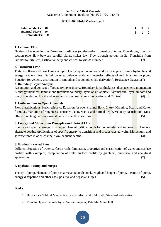# **BTCE-404 Fluid Mechanics-II**

| <b>Internal Marks: 40</b> |  | $L$ T P             |  |
|---------------------------|--|---------------------|--|
| <b>External Marks: 60</b> |  | $3 \quad 1 \quad 0$ |  |
| <b>Total Marks: 100</b>   |  |                     |  |

# **1. Laminar Flow**

Navier-stokes equations in Cartesian coordinates (no derivation), meaning of terms, Flow through circular section pipe, flow between parallel plates, stokes law. Flow through porous media, Transition from laminar to turbulent, Critical velocity and critical Reynolds Number.(7)

# **2. Turbulent Flow**

Turbulent flows and flow losses in pipes, Darcy equation, minor head losses in pipe fittings, hydraulic and energy gradient lines. Definition of turbulence, scale and intensity, effects of turbulent flow in pipes. Equation for velocity distribution in smooth and rough pipes (no derivation). Resistance diagram.(7)

# **3. Boundary Layer Analysis**

Assumption and concept of boundary layer theory. Boundary-layer thickness, displacement, momentum & energy thickness, laminar and turbulent boundary layers on a flat plate; Laminar sub-layer, smooth and rough boundaries. Local and average friction coefficients. Separation and Control. (4)

# **4. Uniform Flow in Open Channels**

Flow classifications, basic resistance Equation for open channel flow. Chezy, Manning, Bazin and Kutter formulae. Variation of roughness coefficient, conveyance and normal depth. Velocity Distribution. Most efficient rectangular, trapezoidal and circular flow sections. (5)

# **5. Energy and Momentum Principles and Critical Flow**

Energy and specific energy in an open channel; critical depth for rectangular and trapezoidal channels. alternate depths. Applications of specific energy to transitions and broads crested weirs. Momentum and specific force in open channel flow, sequent depths. (4)

# **6. Gradually varied Flow**

Different Equation of water surface profile; limitation, properties and classification of water and surface profiles with examples, computation of water surface profile by graphical, numerical and analytical approaches. (7)

# **7. Hydraulic Jump and Surges**

Theory of jump, elements of jump in a rectangular channel, length and height of jump, location of jump, energy dissipation and other uses, positive and negative surges. (5)

- 1. Hydraulics & Fluid Mechanics by P.N. Modi and S.M. Seth; Standard Publication
- 2. Flow in Open Channels by K. Subraminayam; Tata MacGraw Hill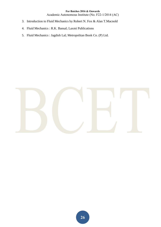# **For Batches 2016 & Onwards**

Academic Autonomous Institute (No. F22-1/2014 (AC)

- 3. Introduction to Fluid Mechanics by Robert N. Fox & Alan T.Macnold
- 4. Fluid Mechanics : R.K. Bansal; Laxmi Publications
- 5. Fluid Mechanics : Jagdish Lal; Metropolitan Book Co. (P) Ltd.

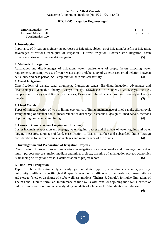# **BTCE-405 Irrigation Engineering–I**

| <b>Internal Marks: 40</b> |  | $L$ T P |  |
|---------------------------|--|---------|--|
| <b>External Marks: 60</b> |  | 3 1 0   |  |
| <b>Total Marks: 100</b>   |  |         |  |

# **1. Introduction**

Importance of Irrigation engineering, purposes of irrigation, objectives of irrigation, benefits of irrigation, advantages of various techniques of irrigation-- Furrow Irrigation, Boarder strip Irrigation, basin irrigation, sprinkler irrigation, drip irrigation.(5)

# **2. Methods of Irrigation**

Advantages and disadvantages of irrigation, water requirements of crops, factors affecting water requirement, consumptive use of water, water depth or delta, Duty of water, Base Period, relation between delta, duty and base period, Soil crop relation-ship and soil fertility. (4)

# **3. Canal Irrigation**

Classifications of canals, canal alignment, Inundation canals, Bandhara irrigation, advantages and disadvantages, Kennedy's theory, Lacey's theory, Drawbacks in Kennedy's & Lacey's theories, comparison of Lacey's and Kennedy's theories, Design of unlined canals based on Kennedy & Lacey's theories. (5)

# **4. Lined Canals**

Types of lining, selection of type of lining, economics of lining, maintenance of lined canals, silt removal, strengthening of channel banks, measurement of discharge in channels, design of lined canals, methods of providing drainage behind lining. (4)

# **5. Losses in Canals, Water Logging and Drainage**

Losses in canals-evaporation and seepage, water logging, causes and ill effects of water logging anti water logging measures. Drainage of land, classification of drains - surface and subsurface drains, Design considerations for surface drains, advantages and maintenance of tile drains. (4)

# **6. Investigation and Preparation of Irrigation Projects**

Classification of project, project preparation-investigations, design of works and drawings, concept of multi - purpose projects, major, medium and miner projects, planning of an irrigation project, economics & financing of irrigation works. Documentation of project report. (6)

# **7. Tube - Well Irrigation**

Types of tube wells - strainer type, cavity type and slotted type. Type of strainers, aquifer, porosity, uniformity coefficient, specific yield  $\&$  specific retention, coefficients of permeability, transmissibility and storage. Yield or discharge of a tube well, assumptions, Theim's & Dupuit's formulae, limitations of Theim's and Dupuit's formulae. Interference of tube wells with canal or adjoining tube-wells, causes of failure of tube wells, optimum capacity, duty and delta of a tube well. Rehabilitation of tube well.

(6)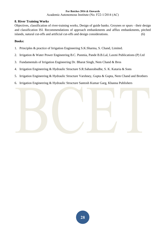# **8. River Training Works**

Objectives, classification of river-training works, Design of guide banks. Groynes or spurs - their design and classification ISI. Recommendations of approach embankments and afflux embankments, pitched islands, natural cut-offs and artificial cut-offs and design considerations. (6)

- 1. Principles & practice of Irrigation Engineering S.K.Sharma, S. Chand, Limited.
- 2. Irrigation & Water Power Engineering B.C. Punmia, Pande B.B.Lal, Laxmi Publications (P) Ltd
- 3. Fundamentals of Irrigation Engineering Dr. Bharat Singh, Nem Chand & Bros
- 4. Irrigation Engineering & Hydraulic Structure S.R.Sahasrabudhe, S. K. Kataria & Sons
- 5. Irrigation Engineering & Hydraulic Structure Varshney, Gupta & Gupta, Nem Chand and Brothers
- 6. Irrigation Engineering & Hydraulic Structure Santosh Kumar Garg, Khanna Publishers

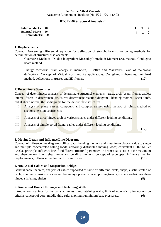# **BTCE-406 Structural Analysis- I**

| <b>Internal Marks: 40</b> |  | $L$ T P             |  |
|---------------------------|--|---------------------|--|
| <b>External Marks: 60</b> |  | $4 \quad 1 \quad 0$ |  |
| <b>Total Marks: 100</b>   |  |                     |  |

# **1. Displacements**

Concept; Governing differential equation for deflection of straight beams; Following methods for determination of structural displacements:

- I. Geometric Methods: Double integration; Macaulay's method; Moment area method; Conjugate beam method.
- II. Energy Methods: Strain energy in members, , Betti's and Maxwell's Laws of reciprocal deflections, Concept of Virtual work and its applications, Castigliano's theorems, unit load method, deflections of trusses and 2D-frames. (12)

# **2. Determinate Structures**

Concept of determinacy; analysis of determinate structural elements—truss, arch, beam, frame, cables; internal forces in determinate structures; determinate reaction diagram-- bending moment, shear force, radial shear, normal thrust diagrams for the determinate structures.

- I. Analysis of plane trusses, compound and complex trusses using method of joints, method of sections, tension coefficients.
- II. Analysis of three-hinged arch of various shapes under different loading conditions.
- III. Analysis of simple portal frame, cables under different loading conditions.

(12)

# **3. Moving Loads and Influence Line Diagrams**

Concept of influence line diagram, rolling loads; bending moment and shear force diagrams due to single and multiple concentrated rolling loads, uniformly distributed moving loads; equivalent UDL; Muller Breslau principle; influence lines for different structural parameters in beams; calculation of the maximum and absolute maximum shear force and bending moment; concept of envelopes; influence line for displacements; influence line for bar force in trusses. (10)

# **4. Analysis of Cables and Suspension Bridges**

General cable theorem, analysis of cables supported at same or different levels, shape, elastic stretch of cable, maximum tension in cable and back-stays, pressure on supporting towers, suspension bridges, three hinged stiffening girders. (8)

# **5. Analysis of Dams, Chimneys and Retaining Walls**

Introduction, loadings for the dams, chimneys, and retaining walls; limit of eccentricity for no-tension criteria; concept of core; middle-third rule; maximum/minimum base pressures.. (6)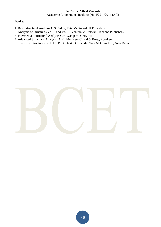- 1 Basic structural Analysis C.S.Reddy; Tata McGraw-Hill Education
- 2 Analysis of Structures Vol- I and Vol.-II Vazirani & Ratwani; Khanna Publishers
- 3 Intermediate structural Analysis C.K.Wang; McGraw-Hill
- 4 Advanced Structural Analysis, A.K. Jain, Nem Chand & Bros., Roorkee.
- 5 Theory of Structures, Vol. I, S.P. Gupta & G.S.Pandit, Tata McGraw Hill, New Delhi.

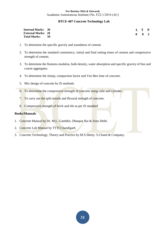# **BTCE-407 Concrete Technology Lab**

| <b>Internal Marks: 30</b> |       | L T P         |  |
|---------------------------|-------|---------------|--|
| <b>External Marks: 20</b> |       | $0 \t 0 \t 2$ |  |
| <b>Total Marks:</b>       | $-50$ |               |  |

- 1. To determine the specific gravity and soundness of cement.
- 2. To determine the standard consistency, initial and final setting times of cement and compressive strength of cement.
- 3. To determine the fineness modulus, bulk density, water absorption and specific gravity of fine and coarse aggregates.
- 4. To determine the slump, compaction factor and Vee-Bee time of concrete.
- 5. Mix design of concrete by IS methods.
- 6. To determine the compressive strength of concrete using cube and cylinder.
- 7. To carry out the split tensile and flexural strength of concrete.
- 8. Compressive strength of brick and tile as per IS standard

# **Books/Manuals**

- 1. Concrete Manual by Dr. M.L. Gambhir, Dhanpat Rai & Sons Delhi.
- 2. Concrete Lab Manual by TTTI Chandigarh
- 3. Concrete Technology, Theory and Practice by M.S.Shetty. S.Chand & Company.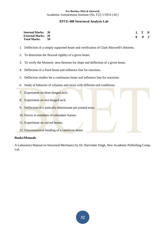# **BTCE-408 Structural Analysis Lab**

| <b>Internal Marks: 30</b> |  | L T P         |  |
|---------------------------|--|---------------|--|
| <b>External Marks: 20</b> |  | $0 \t 0 \t 2$ |  |
| Total Marks: 50           |  |               |  |

- 1. Deflection of a simply supported beam and verification of Clark-Maxwell's theorem.
- 2. To determine the flexural rigidity of a given beam.
- 3. To verify the Moment- area theorem for slope and deflection of a given beam.
- 4. Deflection of a fixed beam and influence line for reactions.
- 5. Deflection studies for a continuous beam and influence line for reactions.
- 6. Study of behavior of columns and struts with different end conditions.
- 7. Experiment on three-hinged arch.
- 8. Experiment on two-hinged arch.
- 9. Deflection of a statically determinate pin jointed truss.
- 10. Forces in members of redundant frames.
- 11. Experiment on curved beams.
- 12. Unsymmetrical bending of a cantilever beam.

# **Books/Manuals**

A Laboratory Manual on Structural Mechanics by Dr. Harvinder Singh, New Academic Publishing Comp. Ltd.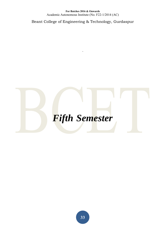Beant College of Engineering & Technology, Gurdaspur

-

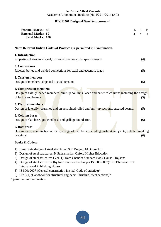# **BTCE 501 Design of Steel Structures – I**

| <b>Internal Marks: 40</b><br>L<br><b>External Marks: 60</b><br>$\overline{\mathbf{4}}$<br><b>Total Marks: 100</b>                                                                     | 1 |     | P<br>$\bf{0}$ |  |
|---------------------------------------------------------------------------------------------------------------------------------------------------------------------------------------|---|-----|---------------|--|
| Note: Relevant Indian Codes of Practice are permitted in Examination.                                                                                                                 |   |     |               |  |
| 1. Introduction<br>Properties of structural steel, I.S. rolled sections, I.S. specifications.                                                                                         |   |     |               |  |
| 2. Connections<br>Riveted, bolted and welded connections for axial and eccentric loads.                                                                                               |   | (5) |               |  |
| 3. Tension members<br>Design of members subjected to axial tension.                                                                                                                   |   |     |               |  |
| <b>4. Compression members</b><br>Design of axially loaded members, built-up columns, laced and battened columns including the design<br>of lacing and battens.<br>5. Flexural members |   | (5) |               |  |
| Design of laterally restrained and un-restrained rolled and built-up sections, encased beams.                                                                                         |   | (5) |               |  |
| 6. Column bases<br>Design of slab base, gusseted base and grillage foundation.                                                                                                        |   | (6) |               |  |
| 7. Roof truss<br>Design loads, combination of loads, design of members (including purlins) and joints, detailed working<br>drawings.                                                  |   | (6) |               |  |
| <b>Books &amp; Codes:</b>                                                                                                                                                             |   |     |               |  |

- 1) Limit state design of steel structures: S K Duggal, Mc Graw Hill
- 2) Design of steel structures: N Subramanian Oxford Higher Education
- 3) Design of steel structures (Vol. 1): Ram Chandra Standard Book House Rajsons
- 4) Design of steel structures (by limit state method as per IS: 800-2007): S S Bhavikatti *I* K International Publishing House
- 5) IS 800: 2007 (General construction in steel-Code of practice)\*
- 6) SP: 6(1) (Handbook for structural engineers-Structural steel sections)\*
- \* permitted in Examination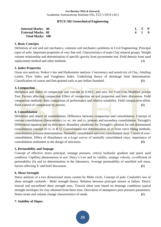# **BTCE-502 Geotechnical Engineering**

| <b>Internal Marks: 40</b> |  | L T P               |  |
|---------------------------|--|---------------------|--|
| <b>External Marks: 60</b> |  | $4 \quad 1 \quad 0$ |  |
| <b>Total Marks: 100</b>   |  |                     |  |

# **1. Basic Concepts**

Definition of soil and soil mechanics, common soil mechanics problems in Civil Engineering. Principal types of soils. Important properties of very fine soil. Characteristics of main Clay mineral groups. Weight volume relationship and determination of specific gravity from pycnometer test. Field density from sand replacement method and other methods. (4)

# **2. Index Properties**

Grain size analysis. Stokes's law and Hydrometer analysis. Consistency and sensitivity of Clay, Atterbeg Limits, Flow Index and Toughness Index. Underlying theory of shrinkage limit determination. Classification of coarse and fine-grained soils as per Indian Standard. **(**6)

# **3. Compaction**

Definition and object of compaction and concept of O.M.C. and zero Air Void Line.Modified proctor Test. Factors affecting compaction Effect of compaction on soil properties and their discussion. Field compaction methods- their comparison of performance and relative suitability. Field compacative effort, Field control of compaction by proctor. **(6)** (6)

# **4. Consolidation**

Definition and object of consolidation, Difference between compaction and consolidation. Concept of various consolidation characteristics i.e. av, mv and cv, primary and secondary consolidation. Terzaghi's Differential equation and its derivation. Boundary conditions for Terzaghi's solution for one dimensional consolidation concept of cv, tv & U. Consolidation test determination of cv from curve fitting methods, consolidation pressure determination. Normally consolidated and over consolidated clays. Causes of overconsolidation. Effect of disturbance on e-Logσ curves of normally consolidated clays, importance of consolidation settlement in the design of structures. **(**8)

# **5. Permeability and Seepage**

Concept of effective stress principal, seepage pressure, critical hydraulic gradient and quick sand condition. Capillary phenomenon in soil. Darcy's Law and its validity, seepage velocity, co-efficient of permeability (k) and its determination in the laboratory. Average permeability of startified soil mass, factors affecting 'k' and brief discussion. **(**6)

# **6. Shear Strength**

Stress analysis of a two dimensional stress system by Mohr circle. Concept of pole. Coulomb's law of shear strength coulomb - Mohr strength theory. Relation between principal stesses at failure. Direct, triaxial and unconfined shear strength tests. Triaxial shear tests based on drainage conditions typical strength envelopes for clay obtained from these tests. Derivation of skempton's pore pressure parameters. Stress strain and volume change characteristics of sands. (6)

# **7. Stability of Slopes**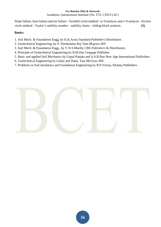Slope failure, base failure and toe failure - Swedish circle method -  $\varphi$ =0 analysis and c=0 analysis - friction circle method - Taylor's stability number - stability charts - sliding block analysis. **(5)**

- 1. Soil Mech. & Foundation Engg, by K.R.Arora Standard *Publishers* Distributors
- 2. Geotechnical Engineering, by P. Purshotama Raj *Tata Mcgraw Hill*
- 3. Soil Mech. & Foundation Engg., by V.N.S.Murthy CBS *Publishers* & Distributors.
- 4. Principle of Geotechnical Engineering by B.M.Das Cengage Publisher
- 5. Basic and applied Soil Mechanics by Gopal Ranjan and A.S.R.Rao New Age International Publishers
- 6. Geotechnical Engineering by Gulati and Datta, Tata McGraw Hill
- 7. Problems in Soil mechanics and Foundation Engineering by B.P.Verma, Khanna Publishers.

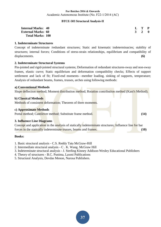## **BTCE-503 Structural Analysis-II**

| <b>Internal Marks: 40</b> |  | L T P               |  |
|---------------------------|--|---------------------|--|
| <b>External Marks: 60</b> |  | $3 \quad 2 \quad 0$ |  |
| <b>Total Marks: 100</b>   |  |                     |  |

# **1. Indeterminate Structures**

Concept of indeterminate /redundant structures; Static and kinematic indeterminacies; stability of structures; internal forces; Conditions of stress-strain relationships, equilibrium and compatibility of displacements. **(6)**

# **2. Indeterminate Structural Systems**

Pin-jointed and rigid-jointed structural systems; Deformation of redundant structures-sway and non-sway frames, elastic curve; Static equilibrium and deformation compatibility checks; Effects of support settlement and lack of fit; Fixed-end moments—member loading, sinking of supports, temperature; Analysis of redundant beams, frames, trusses, arches using following methods:

# **a) Conventional Methods**

Slope deflection method; Moment distribution method; Rotation contribution method (Kani's Method).

# **b) Classical Methods**

Methods of consistent deformation; Theorem of three moments.

# **c) Approximate Methods**

Portal method; Cantilever method; Substitute frame method. **(14)** (14)

# **3. Influence Line Diagrams**

Concept and application in the analysis of statically indeterminate structures; Influence line for bar forces in the statically indeterminate trusses, beams and frames. **(10)**

- 1. Basic structural analysis C.S. Reddy Tata McGraw-Hill
- 2. Intermediate structural analysis C . K. Wang. McGraw Hill
- 3. Indeterminate structural analysis J. Sterling Kinney Addison-Wesley Educational Publishers
- 4. Theory of structures B.C. Punima, Laxmi Publications
- 5. Structural Analysis, Devdas Menon, Narosa Publishers.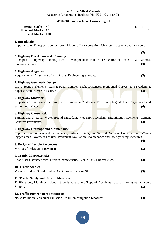# **BTCE-504 Transportation Engineering – I**

| <b>Internal Marks: 40</b><br><b>External Marks: 60</b><br><b>Total Marks: 100</b>                                                                                                                                                             | 3 |            | $\mathbf{0}$ |
|-----------------------------------------------------------------------------------------------------------------------------------------------------------------------------------------------------------------------------------------------|---|------------|--------------|
| 1. Introduction<br>Importance of Transportation, Different Modes of Transportation, Characteristics of Road Transport.                                                                                                                        |   |            |              |
| 2. Highway Development & Planning<br>Principles of Highway Planning, Road Development in India, Classification of Roads, Road Patterns,<br>Planning Surveys.                                                                                  |   | (3)<br>(3) |              |
| 3. Highway Alignment<br>Requirements, Alignment of Hill Roads, Engineering Surveys.                                                                                                                                                           |   | (3)        |              |
| 4. Highway Geometric Design<br>Cross Section Elements, Carriageway, Camber, Sight Distances, Horizontal Curves, Extra-widening,<br>Super-elevation, Vertical Curves.                                                                          |   | (3)        |              |
| 5. Highway Materials<br>Properties of Sub-grade and Pavement Component Materials, Tests on Sub-grade Soil, Aggregates and<br><b>Bituminous Materials.</b>                                                                                     |   | (4)        |              |
| <b>6. Highway Construction</b><br>Earthen/Gravel Road, Water Bound Macadam, Wet Mix Macadam, Bituminous Pavements, Cement<br><b>Concrete Pavements.</b>                                                                                       |   | (3)        |              |
| 7. Highway Drainage and Maintenance<br>Importance of drainage and maintenance, Surface Drainage and Subsoil Drainage, Construction in Water-<br>logged areas, Pavement Failures, Pavement Evaluation, Maintenance and Strengthening Measures. |   |            |              |
| 8. Design of flexible Pavements                                                                                                                                                                                                               |   | (4)        |              |
| Methods for design of pavements                                                                                                                                                                                                               |   | (3)        |              |
| 9. Traffic Characteristics<br>Road User Characteristics, Driver Characteristics, Vehicular Characteristics.                                                                                                                                   |   | (3)        |              |
| <b>10. Traffic Studies</b><br>Volume Studies, Speed Studies, O-D Survey, Parking Study.                                                                                                                                                       |   | (3)        |              |
| 11. Traffic Safety and Control Measures<br>Traffic Signs, Markings, Islands, Signals, Cause and Type of Accidents, Use of Intelligent Transport<br>System.                                                                                    |   | (3)        |              |
| <b>12. Traffic Environment Interaction</b><br>Noise Pollution, Vehicular Emission, Pollution Mitigation Measures.                                                                                                                             |   | (3)        |              |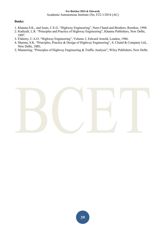- 1. Khanna S.K., and Justo, C.E.G. "Highway Engineering", Nem Chand and Brothers, Roorkee, 1998.
- 2. Kadiyali, L.R. "Principles and Practice of Highway Engineering", Khanna Publishers, New Delhi, 1997.
- 3. Flaherty, C.A.O. "Highway Engineering", Volume 2, Edward Arnold, London, 1986.
- 4. Sharma, S.K. "Principles, Practice & Design of Highway Engineering", S. Chand & Company Ltd., New Delhi, 1985.
- 5. Mannering, "Principles of Highway Engineering & Traffic Analysis", Wiley Publishers, New Delhi.

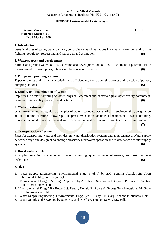# **BTCE-505 Environmental Engineering – I**

| <b>Internal Marks: 40</b> |  |  | $L$ T P             |  |
|---------------------------|--|--|---------------------|--|
| <b>External Marks: 60</b> |  |  | $3 \quad 1 \quad 0$ |  |
| <b>Total Marks: 100</b>   |  |  |                     |  |

# **1. Introduction**

Beneficial uses of water, water demand, per capita demand, variations in demand, water demand for fire fighting, population forecasting and water demand estimation. **(5)**

# **2. Water sources and development**

Surface and ground water sources; Selection and development of sources; Assessment of potential; Flow measurement in closed pipes, intakes and transmission systems. **(6)**

# **3. Pumps and pumping stations**

Types of pumps and their characteristics and efficiencies; Pump operating curves and selection of pumps; pumping stations. **(5)**

# **4. Quality and Examination of Water**

Impurities in water, sampling of water, physical, chemical and bacteriological water quality parameters, drinking water quality standards and criteria. **(6)**

# **5. Water treatment**

Water treatment schemes; Basic principles of water treatment; Design of plain sedimentation, coagulation and flocculation, filtration – slow, rapid and pressure; Disinfection units; Fundamentals of water softening, fluoridation and de-fluoridation, and water desalination and demineralization, taste and odour removal.

**(7)**

# **6. Transportation of Water**

Pipes for transporting water and their design, water distribution systems and appurtenances; Water supply network design and design of balancing and service reservoirs; operation and maintenance of water supply systems. **(6)**

# **7. Rural water supply**

Principles, selection of source, rain water harvesting, quantitative requirements, low cost treatment techniques. **(6)**

- 1. Water Supply Engineering- Environmental Engg. (Vol.–I) by B.C. Punmia, Ashok Jain, Arun Jain,Laxmi Publications, New Delhi.
- 2. Environmental Engg. A design Approach by Arcadio P. Sincero and Gregoria P. Sincero, Prentice Hall of India, New Delhi.
- 3. "Environmental Engg." By Howard S. Peavy, Donald R. Rowe & George Tchobanoglous, McGraw Hill, International Edition
- 4. Water Supply Engineering- Environmental Engg. (Vol. I) by S.K. Garg, Khanna Publishers, Delhi.
- 5.Water Supply and Sewerage by Steel EW and McGhee, Terence J.; McGraw Hill.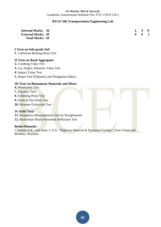# **BTCE-506 Transportation Engineering Lab**

| <b>Internal Marks: 30</b> |  | L T P               |  |
|---------------------------|--|---------------------|--|
| <b>External Marks: 20</b> |  | $0 \quad 0 \quad 2$ |  |
| <b>Total Marks: 50</b>    |  |                     |  |

#### **I Tests on Sub-grade Soil**

**1.** California Bearing Ratio Test

#### **II Tests on Road Aggregates**

- **2.** Crushing Value Test
- **3.** Los Angles Abrasion Value Test
- **4.** Impact Value Test
- **5.** Shape Test (Flakiness and Elongation Index)

# **III Tests on Bituminous Materials and Mixes**

- **6.** Penetration Test
- **7.** Ductility Test
- **8.** Softening Point Test
- **9.** Flash & Fire Point Test
- **10.** Bitumen Extraction Test

# **IV Field Tests**

- 11. Roughness Measurements Test by Roughometer
- **12.** Benkelman Beam Pavement Deflection Test

## **Books/Manuals:**

1.Khanna S.K., and Justo, C.E.G. "Highway Material & Pavement Testing", Nem Chand and Brothers, Roorkee.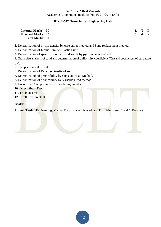# **BTCE-507 Geotechnical Engineering Lab**

| <b>Internal Marks: 30</b> | $L$ T P             |  |
|---------------------------|---------------------|--|
| <b>External Marks: 20</b> | $0 \quad 0 \quad 2$ |  |
| <b>Total Marks: 50</b>    |                     |  |

**1.** Determination of in-situ density by core cutter method and Sand replacement method.

**2.** Determination of Liquid Limit & Plastic Limit.

**3.** Determination of specific gravity of soil solids by pyconometer method.

**4.** Grain size analysis of sand and determination of uniformity coefficient (Cu) and coefficient of curvature (Cc).

**5.** Compaction test of soil.

**6.** Determination of Relative Density of soil.

**7.** Determination of permeability by Constant Head Method.

**8.** Determination of permeability by Variable Head method.

**9.** Unconfined Compression Test for fine-grained soil.

**10.** Direct Shear Test

**11.** Tri-axial Test

**12.** Swell Pressure Test

# **Books:**

1. Soil Testing Engineering, Manual By Shamsher Prakash and P.K. Jain. Nem Chand & Brothers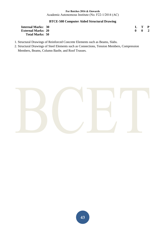# **BTCE-508 Computer Aided Structural Drawing**

| <b>Internal Marks: 30</b> | $\mathbf{L} \quad \mathbf{T} \quad \mathbf{P}$ |  |
|---------------------------|------------------------------------------------|--|
| <b>External Marks: 20</b> | $0 \quad 0 \quad 2$                            |  |
| <b>Total Marks: 50</b>    |                                                |  |

- 1. Structural Drawings of Reinforced Concrete Elements such as Beams, Slabs.
- 2. Structural Drawings of Steel Elements such as Connections, Tension Members, Compression Members, Beams, Column Bas0e, and Roof Trusses.

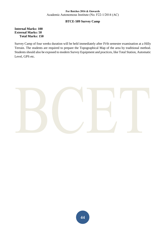# **BTCE-509 Survey Camp**

# **Internal Marks: 100 External Marks: 50 Total Marks: 150**

Survey Camp of four weeks duration will be held immediately after IVth semester examination at a Hilly Terrain. The students are required to prepare the Topographical Map of the area by traditional method. Students should also be exposed to modern Survey Equipment and practices, like Total Station, Automatic Level, GPS etc.

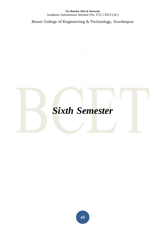Beant College of Engineering & Technology, Gurdaspur

-

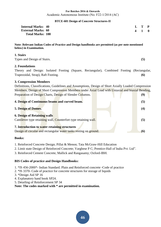# **BTCE-601 Design of Concrete Structures-II**

| <b>Internal Marks: 40</b> |  | L T P               |  |
|---------------------------|--|---------------------|--|
| <b>External Marks: 60</b> |  | $4 \quad 1 \quad 0$ |  |
| <b>Total Marks: 100</b>   |  |                     |  |

**Note: Relevant Indian Codes of Practice and Design handbooks are permitted (as per note mentioned below) in Examination.**

# **1. Stairs**

Types and Design of Stairs. **(5)**

# **2. Foundations**

Theory and Design: Isolated Footing (Square, Rectangular), Combined Footing (Rectangular, Trapezoidal, Strap), Raft Footing. **(6)**

# **3. Compression Members**

Definitions, Classifications, Guidelines and Assumptions, Design of Short Axially Loaded Compression Members, Design of Short Compression Members under Axial Load with Uniaxial and biaxial Bending, Preparation of Design Charts, Design of Slender Columns. **(9)**

| 4. Design of Continuous beams and curved beam.                    | (5) |
|-------------------------------------------------------------------|-----|
| 5. Design of Domes.                                               | (4) |
| <b>6. Design of Retaining walls</b>                               |     |
| Cantilever type retaining wall, Counterfort type retaining wall.  | (5) |
| 7. Introduction to water retaining structures                     |     |
| Design of circular and rectangular water tanks resting on ground. | (6) |

# **Books:**

1. Reinforced Concrete Design; Pillai & Menon; Tata McGraw-Hill Education

2. Limit state Design of Reinforced Concrete; Varghese P C; Prentice-Hall of India Pvt. Ltd".

3. Reinforced Cement Concrete, Mallick and Rangasamy; Oxford-IBH.

# **BIS Codes of practice and Design Handbooks:**

- 1. \*IS 456-2000\*- Indian Standard. Plain and Reinforced concrete -Code of practice
- 2. \*IS 3370- Code of practice for concrete structures for storage of liquids
- 3. \*Design Aid SP 16
- 4. Explanatory hand book SP24.
- 5. Detailing of Reinforcement SP 34

**Note: The codes marked with \* are permitted in examination.**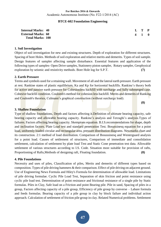# **BTCE-602 Foundation Engineering**

| <b>Internal Marks: 40</b> |  | L T P               |  |
|---------------------------|--|---------------------|--|
| <b>External Marks: 60</b> |  | $4 \quad 1 \quad 0$ |  |
| <b>Total Marks: 100</b>   |  |                     |  |

# **1. Soil Investigation**

Object of soil investigation for new and existing structures. Depth of exploration for different structures. Spacing of bore Holes. Methods of soil exploration and relative merits and demerits. Types of soil sample. Design features of sampler affecting sample disturbance. Essential features and application of the following types of samples- Open Drive samples, Stationery piston sampler, Rotary sampler, Geophysical exploration by seismic and resistivity methods. Bore Hole log for S.P.T. **(7)**

# **2. Earth Pressure**

Terms and symbols used for a retaining wall. Movement of all and the lateral earth pressure. Earth pressure at rest. Rankine states of plastic equilibrium, Ka and Kp for horizontal backfills. Rankine's theory both for active and passive earth pressure for Cohesionless backfill with surcharge and fully submerged case. Cohesive backfill condition. Coulomb's method for cohesion less backfill. Merits and demerits of Ranking and Coulomb's theories, Culmann's graphical construction (without surcharge load).

**(8)**

# **3. Shallow Foundation**

Type of shallow foundations, Depth and factors affecting it.Definition of ultimate bearing capacity, safe bearing capacity and allowable bearing capacity. Rankine's analysis and Terzaghi's analysis. Types of failures. Factors affecting bearing capacity. Skemptons equation. B.I.S. recommendations for shape, depth and inclination factors. Plate Load test and standard penetration Test. Bosussinesq equation for a point load, uniformly loaded circular and rectangular area, pressure distribution diagrams. Newmarks chart and its construction. 2:1 method of load distribution. Comparison of Bosussinesq and Westerguard analysis for a point load. Causes of settlement of structures, Comparison of immediate and consolidation settlement, calculation of settlement by plate load Test and Static Cone penetration test data. Allowable settlement of various structures according to I.S. Code. Situation most suitable for provision of rafts, Proportioning of Rafts, Methods of designing raft, Floating foundation. **(8)** 

# **4. Pile Foundations**

Necessity and uses of piles, Classification of piles, Merits and demerits of different types based on composition. Types of pile driving hammers & their comparison. Effect of pile driving on adjacent ground. Use of Engineering News Formula and Hiley's Formula for determination of allowable load. Limitations of pile driving formulae. Cyclic Pile Load Test, Separation of skin friction and point resistance using cyclic pile load test. Determination of point resistance and frictional resistance of a single pile by Static formulas. Piles in Clay, Safe load on a Friction and point Bearing pile. Pile in sand, Spacing of piles in a group, Factors affecting capacity of a pile group, Efficiency of pile group by converse – Labare formula and feeds formulas. Bearing capacity of a pile group in clay by block failure and individual action approach. Calculation of settlement of friction pile group in clay. Related Numerical problems. Settlement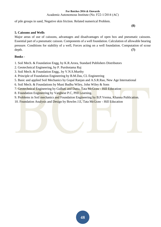of pile groups in sand, Negative skin friction. Related numerical Problem.

**(8)**

# **5. Caissons and Wells**

Major areas of use of caissons, advantages and disadvantages of open box and pneumatic caissons. Essential part of a pneumatic caisson. Components of a well foundation. Calculation of allowable bearing pressure. Conditions for stability of a well, Forces acting on a well foundation. Computation of scour depth. **(7)**

# **Books** -

- 1. Soil Mech. & Foundation Engg, by K.R.Arora, Standard Publishers Distributors
- 2. Geotechnical Engineering, by P. Purshotama Raj
- 3. Soil Mech. & Foundation Engg., by V.N.S.Murthy
- 4. Principle of Foundation Engineering by B.M.Das, CL Engineering
- 5. Basic and applied Soil Mechanics by Gopal Ranjan and A.S.R.Rao, New Age International
- 6. Soil Mech. & Foundations by Muni Budhu Wiley, John Wiley & Sons
- 7. Geotechnical Engineering by Gulhati and Datta, Tata McGraw Hill Education
- 8. Foundation Engineering by Varghese P.C, PHI Learning.
- 9. Problems in Soil mechanics and Foundation Engineering by B.P.Verma, Khanna Publication.
- 10. Foundation Analysis and Design by Bowles J.E, Tata McGraw Hill Education

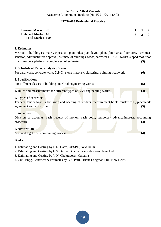# **BTCE-603 Professional Practice**

| <b>Internal Marks: 40</b><br><b>External Marks: 60</b><br><b>Total Marks: 100</b>                                                                                                                                                                                                               | L<br>3 | 2          | P<br>0 |
|-------------------------------------------------------------------------------------------------------------------------------------------------------------------------------------------------------------------------------------------------------------------------------------------------|--------|------------|--------|
| 1. Estimates<br>Method of building estimates, types, site plan index plan, layout plan, plinth area, floor area, Technical<br>sanction, administrative approval, estimate of buildings, roads, earthwork, R.C.C. works, sloped roof, roof<br>truss, masonry platform, complete set of estimate. |        | (5)        |        |
| 2. Schedule of Rates, analysis of rates<br>For earthwork, concrete work, D.P.C., stone masonry, plastering, pointing, roadwork.                                                                                                                                                                 |        | (6)        |        |
| 3. Specifications<br>For different classes of building and Civil engineering works.                                                                                                                                                                                                             |        | (5)        |        |
| 4. Rules and measurements for different types of Civil engineering works.<br>5. Types of contracts<br>Tenders, tender form, submission and opening of tenders, measurement book, muster roll, piecework<br>agreement and work order.                                                            |        | (4)<br>(5) |        |
| <b>6. Accounts</b><br>Division of accounts, cash, receipt of money, cash book, temporary advance, imprest, accounting<br>procedure.<br>7. Arbitration                                                                                                                                           |        | (4)        |        |
| Acts and legal decision-making process.<br><b>Books:</b>                                                                                                                                                                                                                                        |        | (4)        |        |

- 1. Estimating and Costing by B.N. Datta, UBSPD, New Delhi
- 2. Estimating and Costing by G.S. Birdie, Dhanpat Rai Publication New Delhi .
- 3. Estimating and Costing by V.N. Chakravorty, Calcutta
- 4. Civil Engg. Contracts & Estimates by B.S. Patil, Orient-Longman Ltd., New Delhi.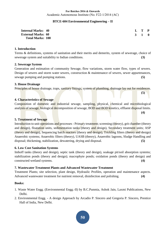# **BTCE-604 Environmental Engineering – II**

| <b>Internal Marks: 40</b> |  | $L$ T P             |  |
|---------------------------|--|---------------------|--|
| <b>External Marks: 60</b> |  | $3 \quad 1 \quad 0$ |  |
| <b>Total Marks: 100</b>   |  |                     |  |

# **1. Introduction**

Terms & definitions, systems of sanitation and their merits and demerits, system of sewerage, choice of sewerage system and suitability to Indian conditions. **(3)** (3)

#### **2. Sewerage System**

Generation and estimation of community Sewage, flow variations, storm water flow, types of sewers. Design of sewers and storm water sewers, construction & maintenance of sewers, sewer appurtenances, sewage pumping and pumping stations. **(5)**

# **3. House Drainage**

Principles of house drainage, traps, sanitary fittings, system of plumbing, drainage lay out for residences.

**(5)**

**(4)**

# **4. Characteristics of Sewage**

Composition of domestic and industrial sewage, sampling, physical, chemical and microbiological analysis of sewage, biological decomposition of sewage, BOD and BOD kinetics, effluent disposal limits.

# **5. Treatment of Sewage**

Introduction to unit operations and processes - Primary treatment; screening (theory), grit chamber (theory and design), floatation units, sedimentation tanks (theory and design), Secondary treatment units; ASP (theory and design), Sequencing batch reactors (theory and design), Trickling filters (theory and design) Anaerobic systems; Anaerobic filters (theory), UASB (theory), Anaerobic lagoons, Sludge Handling and disposal; thickening, stabilization, dewatering, drying and disposal. **(5)**

#### **6. Low Cost Sanitation Systems**

Imhoff tanks (theory and design), septic tank (theory and design), soakage pit/soil absorption systems; stabilization ponds (theory and design); macrophyte ponds; oxidation ponds (theory and design) and constructed wetland systems. **(4)**

# **7. Wastewater Treatment Plants and Advanced Wastewater Treatment**

Treatment Plants; site selection, plant design, Hydraulic Profiles, operation and maintenance aspects. Advanced wastewater treatment for nutrient removal, disinfection and polishing. **(4)**

- 1. Waste Water Engg. (Environmental Engg.-II) by B.C.Punmia, Ashok Jain, Laxmi Publications, New Delhi.
- 2. Environmental Engg. A design Approach by Arcadio P. Sincero and Gregoria P. Sincero, Prentice Hall of India, New Delhi.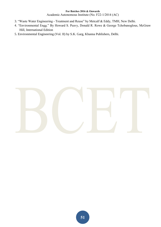- 3. "Waste Water Engineering Treatment and Reuse" by Metcalf & Eddy, TMH, New Delhi.
- 4. "Environmental Engg." By Howard S. Peavy, Donald R. Rowe & George Tchobanoglous, McGraw Hill, International Edition
- 5. Environmental Engineering (Vol. II) by S.K. Garg, Khanna Publishers, Delhi.

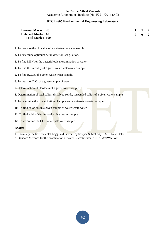# **BTCE -605 Environmental Engineering Laboratory**

| <b>Internal Marks: 40</b> |  |  |  | $L$ T P             |  |
|---------------------------|--|--|--|---------------------|--|
| <b>External Marks: 60</b> |  |  |  | $0 \quad 0 \quad 2$ |  |
| <b>Total Marks: 100</b>   |  |  |  |                     |  |

- **1.** To measure the pH value of a water/waste water sample
- **2.** To determine optimum Alum dose for Coagulation.
- **3.** To find MPN for the bacteriological examination of water.
- **4.** To find the turbidity of a given waste water/water sample
- **5.** To find B.O.D. of a given waste water sample.
- **6.** To measure D.O. of a given sample of water.
- **7.** Determination of Hardness of a given water sample
- **8.** Determination of total solids, dissolved solids, suspended solids of a given water sample.
- **9.** To determine the concentration of sulphates in water/wastewater sample.
- **10.** To find chlorides in a given sample of water/waste water.
- **11.** To find acidity/alkalinity of a given water sample
- **12.** To determine the COD of a wastewater sample.

- 1. Chemistry for Enviromental Engg. and Science by Sawyer & McCarty, TMH, New Delhi
- 2. Standard Methods for the examination of water & wastewater, APHA, AWWA, WE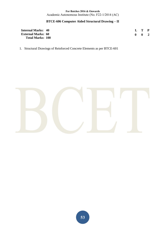# **BTCE-606 Computer Aided Structural Drawing – II**

| <b>Internal Marks: 40</b> |  | L T P         |  |
|---------------------------|--|---------------|--|
| <b>External Marks: 60</b> |  | $0 \t 0 \t 2$ |  |
| <b>Total Marks: 100</b>   |  |               |  |

1. Structural Drawings of Reinforced Concrete Elements as per BTCE-601

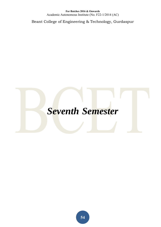Beant College of Engineering & Technology, Gurdaspur

# *Seventh Semester*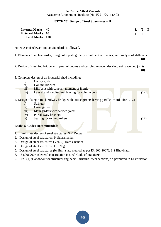# **BTCE 701 Design of Steel Structures – II**

| <b>Internal Marks: 40</b> |  | L T P               |  |
|---------------------------|--|---------------------|--|
| <b>External Marks: 60</b> |  | $4 \quad 1 \quad 0$ |  |
| <b>Total Marks: 100</b>   |  |                     |  |

Note: Use of relevant Indian Standards is allowed.

1. Elements of a plate girder, design of a plate girder, curtailment of flanges, various type of stiffeners.

**(8)**

2. Design of steel footbridge with parallel booms and carrying wooden decking, using welded joints.

**(8)**

- 3. Complete design of an industrial shed including:
	- i) Gantry girder
	- ii) Column bracket
	- iii) Mill bent with constant moment of inertia
	- iv) Lateral and longitudinal bracing for column bent **(12)**
- 4. Design of single-track railway bridge with lattice girders having parallel chords (for B.G.)
	- i) Stringer
	- ii) Cross girder
	- iii) Main girders with welded joints
	- iv) Portal sway bracings
	- v) Bearing rocker and rollers **(12) (12)**

# **Books & Codes Recommended**:

- 1. Limit state design of steel structures: S K Duggal
- 2. Design of steel structures: N Subramanian
- 3. Design of steel structures (Vol. 2): Ram Chandra
- 4. Design of steel structures: L S Negi
- 5. Design of steel structures (by limit state method as per IS: 800-2007): S S Bhavikatti
- 6. IS 800: 2007 (General construction in steel-Code of practice)\*
- 7. SP: 6(1) (Handbook for structural engineers-Structural steel sections)\* \* permitted in Examination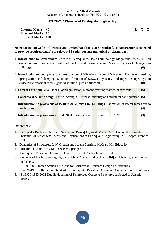## **BTCE-702 Elements of Earthquake Engineering**

| <b>Internal Marks: 40</b> |  | L T P |  |
|---------------------------|--|-------|--|
| <b>External Marks: 60</b> |  | 3 1 0 |  |
| <b>Total Marks: 100</b>   |  |       |  |

# **Note: No Indian Codes of Practice and Design handbooks are permitted, so paper setter is expected to provide required data from relevant IS codes, for any numerical or design part.**

- 1. **Introduction to Earthquakes**, Causes of Earthquakes, Basic Terminology, Magnitude, Intensity, Peak ground motion parameters. Past Earthquakes and Lessons learnt, Various Types of Damages to Buildings. (6)
- 3. **Introduction to theory of Vibrations**, Sources of Vibrations, Types of Vibrations, Degree of Freedom, Spring action and damping, Equation of motion of S.D.O.F. systems, Undamped, Damped system subjected to transient forces, general solution, green's function. (8)
- 4. **Lateral Force analysis**, Floor Diaphragm action, moment resisting frames, shear walls. (5)
- 5. **Concepts of seismic design**, Lateral Strength, Stiffness, ductility and structural configuration. (5)
- 6. **Introduction to provisions of IS 1893-2002 Part-I for buildings**. Estimation of lateral forces due to earthquake. (4)
- 7. **Introduction to provisions of IS 4326. 8**. Introduction to provision of IS 13920. (3)

# **References:**

- 1. Earthquake Resistant Design of Structures, Pankaj Agrawal, Manish Shrikhande, PHI Learning
- 2. Dynamics of Structures: Theory and Applications to Earthquake Engineering, AK Chopra, Prentice Hall
- 3. Dynamics of Structures, R.W. Clough and Joseph Penzien, McGraw-Hill Education
- 4. Structural Dynamics by Mario & Paz, Springer.
- 5. Earthquake Resistant Design by David J. Dowrick, Wiley India Pvt Ltd
- 6. Elements of Earthquake Engg by Jai Krishna, A.R. Chandrasekaran, Brijesh Chandra, South Asian Publishers.
- 7. IS 1893-2002 Indian Standard Criteria for Earthquake Resistant Design of Structures
- 8. IS 4326-1993 2002 Indian Standard for Earthquake Resistant Design and Construction of Buildings
- 9. IS 13920-1993 2002 Ductile detailing of Reinforced Concrete Structures subjected to Seismic Forces.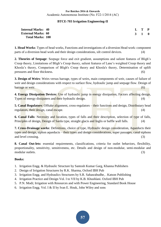# **BTCE-703 Irrigation Engineering-II**

| <b>Internal Marks: 40</b> |  | L T P               |  |
|---------------------------|--|---------------------|--|
| <b>External Marks: 60</b> |  | $3 \quad 1 \quad 0$ |  |
| <b>Total Marks: 100</b>   |  |                     |  |

**1. Head Works**: Types of head works, Functions and investigations of a diversion Head work: component parts of a diversion head work and their design considerations, silt control devices. (4)

**2. Theories of Seepage**: Seepage force and exit gradient, assumptions and salient features of Bligh's Creep theory, Limitations of Bligh's Creep theory, salient features of Lane's weighted Creep theory and Khosla's theory, Comparison of Bligh's Creep theory and Khosla's theory, Determination of uplift pressures and floor thickness. (6)

**3. Design of Weirs**: Weirs versus barrage, types of weirs, main components of weir, causes of failure of weir and design considerations with respect to surface flow, hydraulic jump and seepage flow. Design of barrage or weir. (6)

**4. Energy Dissipation Devices**: Use of hydraulic jump in energy dissipation, Factors affecting design, Types of energy dissipaters and their hydraulic design. (4) (4)

**5. Canal Regulators**: Offtake alignment, cross-regulators – their functions and design, Distributary head regulators, their design, canal escape. (4)

**6. Canal Falls**: Necessity and location, types of falls and their description, selection of type of falls, Principles of design, Design of Sarda type, straight glacis and Inglis or baffle wall falls. (4)

**7. Cross-Drainage works**: Definitions, choice of type, Hydraulic design consideration, Aqueducts their types and design, siphon aqueducts – their types and design considerations, super passages, canal siphons and level crossing. (3)

**8. Canal Out-lets:** essential requirements, classifications, criteria for outlet behaviors, flexibility, proportionality, sensitivity, sensitiveness, etc. Details and design of non-modular, semi-modular and modular outlets. (3)

- 1. Irrigation Engg. & Hydraulic Structure by Santosh Kumar Garg, Khanna Publishers
- 2. Design of Irrigation Structures by R.K. Sharma, Oxford IBH Pub
- 3. Irrigation Engg. and Hydraulics Structures by S.R. Sahasrabudhe, . Katson Publishing
- 4. Irrigation Practice and Design Vol. I to VII by K.B. Khushlani. Oxford IBH Pub
- 5. P.N. Modi; Irrigation with Resources and with Power Engineering, Standard Book House
- 6. Irrigation Engg. Vol. I & II by Ivan E. Houk, John Wiley and sons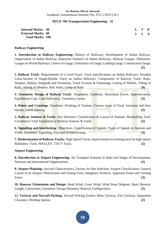# **BTCE-704 Transportation Engineering – II**

| <b>Internal Marks: 40</b> |       | L T P |  |
|---------------------------|-------|-------|--|
| <b>External Marks: 60</b> | 3 1 0 |       |  |
| <b>Total Marks: 100</b>   |       |       |  |

# **Railway Engineering**

**1. Introduction to Railway Engineering**: History of Railways, Development of Indian Railway, Organisation of Indian Railway, Important Statistics of Indian Railways. Railway Gauges: Definition, Gauges on World Railways, Choice of Gauge, Uniformity of Gauge, Loading Gauge, Construction Gauge**. (5)**

**2. Railway Track**: Requirements of a Good Track, Track Specifications on Indian Railways, Detailed Cross-Section of Single/Double Track on Indian Railways. Components of Railway Track: Rails, Sleepers, Ballast, Subgrade and Formation, Track Fixtures & Fastenings, Coning of Wheels, Tilting of Rails, Adzing of Sleepers, Rail Joints, Creep of Rails. **(4)**

**3. Geometric Design of Railway Track**: Alignment, Gradients, Horizontal Curve, Superelevation, Equilibrium Cant, Cant Deficiency, Transition Curves. **(2)**

**4. Points and Crossings**: Functions, Working of Turnout, Various types of Track Junctions and their layouts, Level crossing. **(2)**

**5. Railway Stations & Yards**: Site Selection, Classification & Layout of Stations, Marshalling Yard, Locomotive Yard, Equipment at Railway Stations & Yards **(2)**

**6. Signalling and Interlocking**: Objectives, Classification of Signals, Types of Signals in Stations and Yards, Automatic Signalling, Principal of Interlocking. **(3)**

**7. Modernization of Railway Tracks**: High Speed Tracks, Improvement in existing track for high speed, Ballastless Track, MAGLEV, TACV Track. **(2)**

# **Airport Engineering**

**8. Introduction to Airport Engineering**: Air Transport Scenario in India and Stages of Development, National and International Organizations. **(2)**

**9. Airport Planning**: Aircraft Characteristics, Factors for Site Selection, Airport Classification, General Layout of an Airport. Obstructions and Zoning Laws, Imaginary Surfaces, Approach Zones and Turning Zones. **(3)**

**10. Runway Orientation and Design**: Head Wind, Cross Wind, Wind Rose Diagram, Basic Runway Length, Corrections, Geometric Design Elements, Runway Configuration. **(2)**

**11. Taxiway and Aircraft Parking**: Aircraft Parking System. Main Taxiway, Exit Taxiway, Separation Clearance, Holding Aprons. **(2)**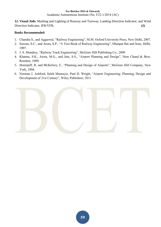**12. Visual Aids**: Marking and Lighting of Runway and Taxiway, Landing Direction Indicator, and Wind Direction Indicator, IFR/VFR**. (2)**

# **Books Recommended**:

- 1. Chandra S., and Aggarwal, "Railway Engineering", M.M. Oxford University Press, New Delhi, 2007.
- 2. Saxena, S.C., and Arora, S.P., "A Text Book of Railway Engineering", Dhanpat Rai and Sons, Delhi, 1997.
- 3. J. S. Mundrey, "Railway Track Engineering", McGraw Hill Publishing Co., 2009
- 4. Khanna, S.K., Arora, M.G., and Jain, S.S., "Airport Planning and Design", Nem Chand & Bros. Roorkee, 1999.
- 5. Horenjeff, R. and McKelvey, F., "Planning and Design of Airports", McGraw Hill Company, New York, 1994.
- 6. Norman J. Ashford, Saleh Mumayiz, Paul H. Wright, "Airport Engineering: Planning, Design and Development of 21st Century", Wiley Publishers, 2011

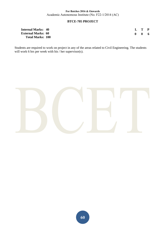# **BTCE-705 PROJECT**

| <b>Internal Marks: 40</b> |                           | L T P |   |
|---------------------------|---------------------------|-------|---|
| <b>External Marks: 60</b> | $\mathbf{0}$ $\mathbf{0}$ |       | 6 |
| <b>Total Marks: 100</b>   |                           |       |   |

Students are required to work on project in any of the areas related to Civil Engineering. The students will work 6 hrs per week with his / her supervisor(s).

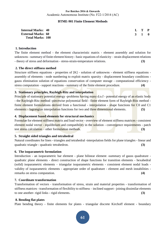## **BTME-901 Finite Element Methods**

| <b>Internal Marks: 40</b> |  | $L$ T P |  |
|---------------------------|--|---------|--|
| <b>External Marks: 60</b> |  | 3 1 0   |  |
| <b>Total Marks: 100</b>   |  |         |  |

#### **1. Introduction**

The finite element method - the element characteristic matrix - element assembly and solution for unknowns -summary of finite element history - basic equations of elasticity – strain displacement relations - theory of stress and deformation - stress-strain-temperature relations. **(3)**

#### **2. The direct stiffness method**

Structure stiffness equations - properties of [K] - solution of unknowns - element stiffness equations assembly of elements - node numbering to exploit matrix sparsity - displacement boundary conditions gauss elimination solution of equations conservation of computer storage - computational efficiency stress computation - support reactions - summary of the finite element procedure. **(4)**

# **3. Stationary principles, Rayleigh-Ritz and interpolation**

Principle of stationary potential energy -problems having many d.o.f - potential energy of an elastic body - the Rayleigh-Ritz method -piecewise polynomial field - finite element form of Rayleigh-Ritz method finite element formulations derived from a functional - interpolation - shape functions for C0 and C1 elements – lagrangian interpolation functions for two and three dimensional elements. **(5)**

#### **4. Displacement based elements for structural mechanics**

Formulae for element stiffness matrix and load vector - overview of element stiffness matrices - consistent element nodal vector - equilibrium and compatibility in the solution - convergence requirements - patch test stress calculation – other formulation methods. **(3)**

#### **5. Straight sided triangles and tetrahedral**

Natural coordinates for lines - triangles and tetrahedral -interpolation fields for plane triangles - linear and quadratic triangle - quadratic tetrahedron. **(3)**

#### **6. The isoparametric formulation**

Introduction - an isoparametric bar element - plane bilinear element -summary of gauss quadrature quadratic plane elements - direct construction of shape functions for transition elements - hexahedral (solid) isoparametric elements – triangular isoparametric elements - consistent element nodal loads validity of isoparametric elements - appropriate order of quadrature - element and mesh instabilities remarks on stress computation. **(4)**

#### **7. Coordinate transformation**

Transformation of vectors - transformation of stress, strain and material properties - transformation of stiffness matrices - transformation of flexibility to stiffness – inclined support - joining dissimilar elements to one another- rigid links - rigid elements. **(3)**

#### **8. Bending flat plates**

Plate bending theory - finite elements for plates - triangular discrete Kirchoff element - boundary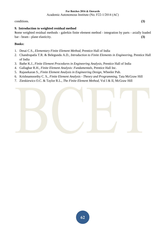# **For Batches 2016 & Onwards**

Academic Autonomous Institute (No. F22-1/2014 (AC)

conditions. **(3)**

# **9. Introduction to weighted residual method**

**S**ome weighted residual methods - galerkin finite element method - integration by parts - axially loaded bar - beam - plane elasticity. **(3)**

- 1. Desai C.S., *Elementary Finite Element Method,* Prentice Hall of India
- 2. Chandrupatla T.R. & Belegundu A.D., *Introduction to Finite Elements in Engineering,* Prentice Hall of India
- 3. Bathe K.J., *Finite Element Procedures in Engineering Analysis,* Prentice Hall of India
- 4. Gallaghar R.H., *Finite Element Analysis: Fundamentals,* Prentice Hall Inc.
- 5. Rajasekaran S., *Finite Element Analysis in Engineering Design*, Wheeler Pub.
- 6. Krishnamoorthy C. S., *Finite Element Analysis - Theory and Programming,* Tata McGraw Hill
- 7. Zienkiewics O.C. & Taylor R.L., *The Finite Element Method,* Vol I & II, McGraw Hill

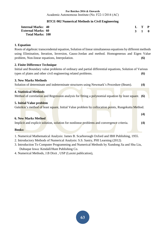# **BTCE-902 Numerical Methods in Civil Engineering**

| <b>Internal Marks: 40</b> |  |  | L T P |  |
|---------------------------|--|--|-------|--|
| <b>External Marks: 60</b> |  |  | 3 1 0 |  |
| <b>Total Marks: 100</b>   |  |  |       |  |

# **1. Equation**

Roots of algebraic transcendental equation, Solution of linear simultaneous equations by different methods using Elimination, Iteration, Inversion, Gauss-Jordan and method. Homogeneous and Eigen Value problem, Non-linear equations, Interpolation. **(6)**

# **2. Finite Difference Technique**

Initial and Boundary value problems of ordinary and partial differential equations, Solution of Various types of plates and other civil engineering related problems. **(6)**

# **3. New Marks Methods**

Solution of determinate and indeterminate structures using Newmark's Procedure (Beam). **(4)** 

# **4. Statistical Methods**

Method of correlation and Regression analysis for fitting a polynomial equation by least square. **(6)**

# **5. Initial Value problem**

Galerkin's method of least square, Initial Value problem by collocation points, Rungekutta Method.

# **(4) 6. New Marks Method** Implicit and explicit solution, solution for nonlinear problems and convergence criteria. **(4)**

- 1. Numerical Mathematical Analysis: James B. Scarborough Oxford and IBH Publishing, 1955.
- 2. Introductory Methods of Numerical Analysis: S.S. Sastry, PHI Learning (2012).
- 3. Introduction To Computer Programming and Numerical Methods by Xundong Jia and Shu Liu, Dubuque Iowa: Kendall/Hunt Publishing Co.
- 4. Numerical Methods, J.B Dixit , USP (Laxmi publication),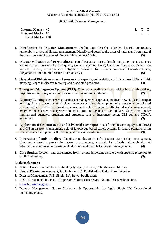# **BTCE-903 Disaster Management**

| <b>Internal Marks: 40</b> |  | $L$ T P |  |
|---------------------------|--|---------|--|
| <b>External Marks: 60</b> |  | 3 1 0   |  |
| <b>Total Marks: 100</b>   |  |         |  |

- 1. **Introduction to Disaster Management**: Define and describe disaster, hazard, emergency, vulnerability, risk and disaster management; Identify and describe the types of natural and non-natural disasters. Important phases of Disaster Management Cycle. **(5)**
- 2. **Disaster Mitigation and Preparedness**: Natural Hazards: causes, distribution pattern, consequences and mitigation measures for earthquake, tsunami, cyclone, flood, landslide drought etc. Man-made hazards: causes, consequences mitigation measures for various industrial hazards/disasters, Preparedness for natural disasters in urban areas. **(5)**
- 3. **Hazard and Risk Assessment**: Assessment of capacity, vulnerability and risk, vulnerability and risk mapping, stages in disaster recovery and associated problems. **(3)**
- 4. **Emergency Management Systems (EMS)**: Emergency medical and essential public health services, response and recovery operations, reconstruction and rehabilitation. **(2)**
- 5. **Capacity Building**: Gender sensitive disaster management approach, inculcate new skills and sharpen existing skills of government officials, voluntary activists, development of professional and elected representative for effective disaster management, role of media in effective disaster management, overview of disaster management in India, role of agencies like NDMA, SDMA and other International agencies, organizational structure, role of insurance sector, DM act and NDMA guidelines.. **(5)** (5)
- 6. **Application of Geoinformatics and Advanced Techniques**: Use of Remote Sensing Systems (RSS) and GIS in disaster Management, role of knowledge based expert systems in hazard scenario, using risks-time charts to plan for the future, early warning systems. **(3)**
- **7. Integration of public policy**: Planning and design of infrastructure for disaster management, Community based approach in disaster management, methods for effective dissemination of information, ecological and sustainable development models for disaster management. **(4)**
- 8. **Case Studies**: Lessons and experiences from various important disasters with specific reference to Civil Engineering. **(3)**

# **Books/References**:

- 1. Natural Hazards in the Urban Habitat by Iyengar, C.B.R.I., Tata McGraw Hill.Pub
- 2. Natural Disaster management, Jon Ingleton (Ed), Published by Tudor Rose, Leicester
- 3. Disaster Management, R.B. Singh (Ed), Rawat Publications
- 4. ESCAP: Asian and the Pacific Report on Natural Hazards and Natural Disaster Reduction.
- 5. [www.http//ndma,gov,in](http://www.http/ndma,gov,in)
- 6. Disaster Management –Future Challenges & Opportunities by Jagbir Singh, I.K. International Publishing House.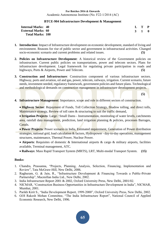# **BTCE-904 Infrastructure Development & Management**

| <b>Internal Marks: 40</b> |  | $L$ T P             |  |
|---------------------------|--|---------------------|--|
| <b>External Marks: 60</b> |  | $3 \quad 1 \quad 0$ |  |
| <b>Total Marks: 100</b>   |  |                     |  |

- **1. Introduction:** Impact of Infrastructure development on economic development, standard of living and environment. Reasons for rise of public sector and government in infrastructural activities. Changed socio-economic scenario and current problems and related issues. **(5)**
- **2. Policies on Infrastructure Development**: A historical review of the Government policies on infrastructure. Current public policies on transportations, power and telecom sectors. Plans for infrastructure development. Legal framework for regulating private participation in roads and highways, Ports & Airports, Power and Telecom. **(5)**
- **3. Construction and Infrastructure**: Construction component of various infrastructure sectors. Highway, ports and aviation, oil and gas, power, telecom, railways, irrigation. Current scenario, future needs, investment needed, regulatory framework, government policies and future plans. Technological and methodological demands on construction management in infrastructure development projects.

**(5)**

**4. Infrastructure Management**: Importance, scope and role in different sectors of construction.

• **Highway Sector**: Repayment of Funds, Toll Collection Strategy, Shadow tolling, and direct tolls, Maintenance strategy, Review of toll rates & structuring to suit the traffic demand,

**Irrigation Projects:** Large / Small Dams - Instrumentation, monitoring of water levels, catchments area, rainfall data management, prediction, land irrigation planning & policies, processes Barrages, Canals.

- **Power Projects:** Power scenario in India, Estimated requirement, Generation of Power distribution strategies, national grid, load calculation & factors, Hydropower - day-to-day operations, management structures, maintenance, Thermal Power, Nuclear Power.
- **Airports**: Requisites of domestic & International airports & cargo & military airports, facilities available, Terminal management, ATC.
- **Railways**: Mass Rapid Transport System (MRTS), LRT, Multi-modal Transport System. **(15)**

- 1. Chandra, Prassanna, "Projects, Planning, Analysis, Selection, Financing, Implementation and Review", Tata McGraw-Hill, New Delhi, 2006.
- 2. Raghuram, G. & Jain, R., "Infrastructure Development & Financing Towards a Public-Private Partnership", Macmillan India Ltd., New Delhi, 2002.
- 3. India Infrastructure Report 2001 & 2002, Oxford University Press, New Delhi, 2001/02.
- 4. NICMAR, "Construction Business Opportunities in Infrastructure Development in India", NICMAR, Mumbai, 2001.
- 5. Parikh Kirit S., "India Development Report, 1999-2000", Oxford University Press, New Delhi, 2002.
- 6. GOI Rakesh Mohan Committee, "The India Infrastructure Report", National Council of Applied Economic Research, New Delhi, 1996.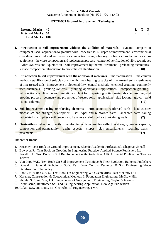# **BTCE-905 Ground Improvement Techniques**

| <b>Internal Marks: 40</b> |  | L T P               |  |
|---------------------------|--|---------------------|--|
| <b>External Marks: 60</b> |  | $3 \quad 1 \quad 0$ |  |
| <b>Total Marks: 100</b>   |  |                     |  |

- **1. Introduction to soil improvement without the addition of materials** dynamic compaction equipment used - application to granular soils - cohesive soils - depth of improvement - environmental considerations - induced settlements - compaction using vibratory probes - vibro techniques vibro equipment - the vibro compaction and replacement process - control of verification of vibro techniques - vibro systems and liquefaction - soil improvement by thermal treatment - preloading techniques surface compaction introduction to bio technical stabilization **(8)**
- **2. Introduction to soil improvement with the addition of materials** lime stabilization lime column method - stabilization of soft clay or silt with lime - bearing capacity of lime treated soils - settlement of lime treated soils - improvement in slope stability - control methods - chemical grouting - commonly used chemicals - grouting systems - grouting operations - applications - compaction grouting introduction - application and limitations - plant for preparing grouting materials - jet grouting - jet grouting process - geometry and properties of treated soils - applications - slab jacking - gravel - sand - stone columns **(10)**
- **3. Soil improvement using reinforcing elements** introduction to reinforced earth load transfer mechanism and strength development - soil types and reinforced earth - anchored earth nailing reticulated micro piles - soil dowels - soil anchors - reinforced earth retaining walls. **(7)**
- **4. Geotextiles**  Behaviour of soils on reinforcing with geotextiles effect on strength, bearing capacity, compaction and permeability - design aspects - slopes - clay embankments - retaining walls pavements. **(7)**

# **Reference books**

- 1. Moseley, Text Book on Ground Improvement, Blackie Academic Professional, Chapman & Hall
- 2. Boweven R., Text Book on Grouting in Engineering Practice, Applied Science Publishers Ltd
- 3. Jewell R.A., Text Book on Soil Reinforcement with Geotextiles, CIRIA Special Publication, Thomas Telford
- 4. Van Impe W.E., Text Book On Soil Improvement Technique & Their Evolution, Balkema Publishers
- 5. Donald .H. Gray & Robbin B. Sotir, Text Book On Bio Technical & Soil Engineering Slope Stabilization, John Wiley
- 6. Rao G.V. & Rao G.V.S., Text Book On Engineering With Geotextiles, Tata McGraw Hill
- 7. Korener, Construction & Geotechnical Methods In Foundation Engineering, McGraw Hill
- 8. Shukla, S.K. and Yin, J.H. Fundamental of Geosynthetic Engineering, Taylor & Francis
- 9. Swamisaran, Reinforced Soil and its Engineering Application, New Age Publication
- 10. Gulati, S.K. and Datta, M., Geotechnical Engineering, TMH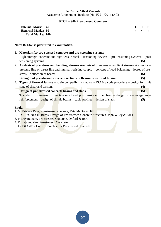## **BTCE – 906 Pre-stressed Concrete**

| <b>Internal Marks: 40</b> |                     | $L$ T P |  |
|---------------------------|---------------------|---------|--|
| <b>External Marks: 60</b> | $3 \quad 1 \quad 0$ |         |  |
| <b>Total Marks: 100</b>   |                     |         |  |

#### **Note: IS 1343 is permitted in examination.**

- 1. **Materials for pre-stressed concrete and pre-stressing systems** High strength concrete and high tensile steel – tensioning devices – pre-tensioning systems – post tensioning systems. **(5)** 2. **Analysis of pre-stress and bending stresses** Analysis of pre-stress – resultant stresses at a sector –
- pressure line or thrust line and internal resisting couple concept of load balancing losses of prestress – deflection of beams. **(6)**
- 3. **Strength of pre-stressed concrete sections in flexure, shear and torsion (5)**
- 4. **Types of flexural failure** strain compatibility method IS:1343 code procedure design for limit state of shear and torsion. **(4) (4)**
- 5. **Design of pre-stressed concrete beams and slabs (5)**
- 6. Transfer of pre-stress in pre tensioned and post tensioned members design of anchorage zone reinforcement – design of simple beams – cable profiles – design of slabs. **(5)**

- 1. N. Krishna Raju, Pre-stressed concrete, Tata McGraw Hill
- 2. T.Y. Lin, Ned H. Burns, Design of Pre-stressed Concrete Structures, John Wiley & Sons.
- 3. P. Dayaratnam, Pre-stressed Concrete, Oxford & IBH
- 4. R. Rajagopalan, Pre-stressed Concrete.
- 5. IS 1343 2012 Code of Practice for Prestressed Concrete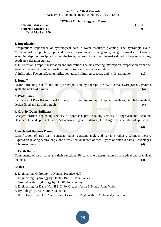# **BTCE - 951 Hydrology and Dams**

| <b>Internal Marks: 40</b> |  |
|---------------------------|--|
| <b>External Marks: 60</b> |  |
| <b>Total Marks: 100</b>   |  |

**L T P 3 0 0**

**(4)**

# **1. Introduction**

Precipitation: Importance of hydrological data in water resources planning. The hydrologic cycle. Mechanics of precipitation, types and causes, measurement by rain gauges, Gauge net-works, hyetograph, averaging depth of precipitation over the basin, mass-rainfall curves, intensity duration frequency curves, depth area-duration curves.

a) Interception, Evapo-transptration and Infiltration: Factors affecting interception, evaporation from free water surfaces and from land surfaces, transpiration, Evapo-transpiration.

b) Infiltration Factors affecting infiltration, rate, Infiltration capacity and its determination. **(10)**

# **2. Runoff:**

Factors affecting runoff, run-off hydrograph, unit hydrograph theory, S-curve hydrograph, Synder's synthetic unit hydrograph. **(4) (4) (4) (5) (4) (5) (4) (5) (4) (4) (5) (4) (4) (4) (5) (4) (5) (4) (5) (5) (5) (4) (5) (5) (5) (5) (5) (5) (5) (5) (5) (5) (5** 

# **3. Peak Flows**

Estimation of Peak flow-rational formula, use of unit hydrograph, frequency analysis, Gumbel's method, design flood and its hydrograph. **(4)**

# **4. Gravity Dams-Spillways:**

Creagers profiles neglecting velocity of approach, profile taking velocity of approach into account, Upstream lip and approach ramp, Advantages of gated spillways, Discharge characteristics of spillways.

# **5. Arch and Buttress Dams:**

Classification of arch dam- constant radius, constant angle and variable radius , Cylinder theory, Expression relating central angle and Cross-Sectional area of arch. Types of buttress dams, Advantages of buttress dams. **(4)**

# **6. Earth Dams:**

Components of earth dams and their functions, Phreatic line determination by analytical and graphical methods. **(4)**

- 1. Engineering Hydrology J.Nemec, Prentice Hall
- 2. Engineering Hydrology by Stanley Buttler, John. Wiley
- 3. Ground Water Hydrology by TODD, John. Wiley
- 4. Engineering for Dams Vol. II & III by Creager Justin & Hinds. John. Wiley
- 5. Hydrology by. S.K.Garg, Khanna Pub
- 6. Hydrology Principles, Analysis and Design by. Raghunath, H M, New Age Int. Pub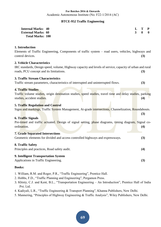# **BTCE-952 Traffic Engineering**

| <b>Internal Marks: 40</b><br><b>External Marks: 60</b><br><b>Total Marks: 100</b>                                                                                                                                                                                      | L<br>3 | т<br>o | P<br>0 |
|------------------------------------------------------------------------------------------------------------------------------------------------------------------------------------------------------------------------------------------------------------------------|--------|--------|--------|
| 1. Introduction<br>Elements of Traffic Engineering, Components of traffic system – road users, vehicles, highways and<br>control devices.                                                                                                                              |        | (3)    |        |
| 2. Vehicle Characteristics<br>IRC standards, Design speed, volume, Highway capacity and levels of service, capacity of urban and rural<br>roads, PCU concept and its limitations.                                                                                      |        | (3)    |        |
| 3. Traffic Stream Characteristics<br>Traffic stream parameters, characteristics of interrupted and uninterrupted flows.                                                                                                                                                |        | (3)    |        |
| <b>4. Traffic Studies</b><br>Traffic volume studies, origin destination studies, speed studies, travel time and delay studies, parking<br>studies, accident studies.                                                                                                   |        | (4)    |        |
| 5. Traffic Regulation and Control<br>Signs and markings, Traffic System Management, At-grade intersections, Channelization, Roundabouts.<br>6. Traffic Signals<br>Pre-timed and traffic actuated. Design of signal setting, phase diagrams, timing diagram, Signal co- |        | (3)    |        |
| ordination.<br><b>7. Grade Separated Intersections</b>                                                                                                                                                                                                                 |        | (4)    |        |
| Geometric elements for divided and access controlled highways and expressways.                                                                                                                                                                                         |        | (3)    |        |
| 8. Traffic Safety<br>Principles and practices, Road safety audit.                                                                                                                                                                                                      |        | (4)    |        |
| 9. Intelligent Transportation System<br>Applications in Traffic Engineering.                                                                                                                                                                                           |        | (3)    |        |

# **Books:**

1. William, R.M. and Roger, P.R., "Traffic Engineering", Prentice Hall.

- 2. Hobbs, F.D., "Traffic Planning and Engineering", Pergamon Press.
- 3. Khisty, C.J. and Kent, B.L., "Transportation Engineering An Introduction", Prentice Hall of India Pvt. Ltd.
- 4. Kadiyali, L.R., "Traffic Engineering & Transport Planning", Khanna Publishers, New Delhi.
- 5. Mannering, "Principles of Highway Engineering & Traffic Analysis", Wiley Publishers, New Delhi.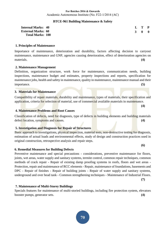# **BTCE-961 Building Maintenance & Safety**

| <b>Internal Marks: 40</b> |  | L T P               |  |
|---------------------------|--|---------------------|--|
| <b>External Marks: 60</b> |  | $3 \quad 0 \quad 0$ |  |
| <b>Total Marks: 100</b>   |  |                     |  |

# **1. Principles of Maintenance**

Importance of maintenance, deterioration and durability, factors affecting decision to carryout maintenance, maintenance and GNP, agencies causing deterioration, effect of deterioration agencies on materials. **(4)**

# **2. Maintenance Management**

Definition, organization structure, work force for maintenance, communication needs, building inspections, maintenance budget and estimates, property inspections and reports, specification for maintenance jobs, health and safety in maintenance, quality in maintenance, maintenance manual and their importance. **(5)**

# **3. Materials for Maintenance**

Compatibility of repair materials, durability and maintenance, types of materials, their specification and application, criteria for selection of material, use of commercial available materials in maintenance.

# **4. Maintenance Problems and Root Causes**

Classification of defects, need for diagnosis, type of defects in building elements and building materials defect location, symptoms and causes. **(4)**

# **5. Investigation and Diagnosis for Repair of Structures**

Basic approach to investigations, physical inspection, material tests, non-destructive testing for diagnosis, estimation of actual loads and environmental effects, study of design and construction practices used in original construction, retrospective analysis and repair steps.

# **6. Remedial Measures for Building Defects**

Preventive maintenance and special precautions - considerations, preventive maintenance for floors, joints, wet areas, water supply and sanitary systems, termite control, common repair techniques, common methods of crack repair - Repair of existing damp proofing systems in roofs, floors and wet areas - Protection, repair and maintenance of RCC elements - Repair, maintenance of foundations, basements and DPC - Repair of finishes - Repair of building joints - Repair of water supply and sanitary systems, underground and over head tank - Common strengthening techniques - Maintenance of Industrial Floors.

**(7)**

# **7. Maintenance of Multi-Storey Buildings**

Specials features for maintenance of multi-storied buildings, including fire protection system, elevators booster pumps, generator sets. **(4)**

**(6)**

**(4)**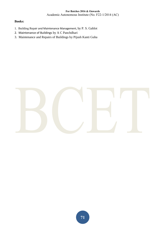- 1. Building Repair and Maintenance Management, by P. S. Gahlot
- 2. Maintenance of Buildings by A C Panchdhari
- 3. Maintenance and Repairs of Buildings by Pijush Kanti Guha